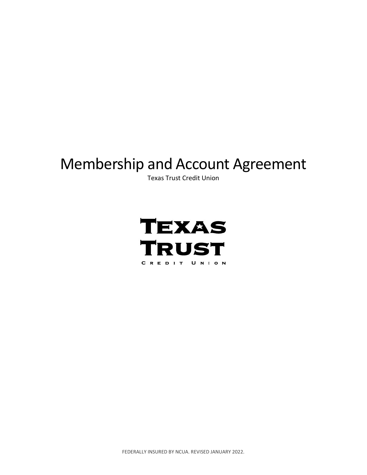# Membership and Account Agreement

Texas Trust Credit Union



FEDERALLY INSURED BY NCUA. REVISED JANUARY 2022.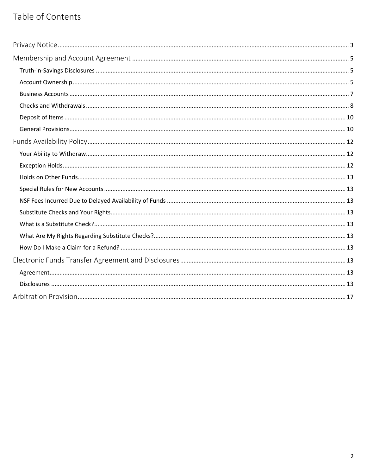## Table of Contents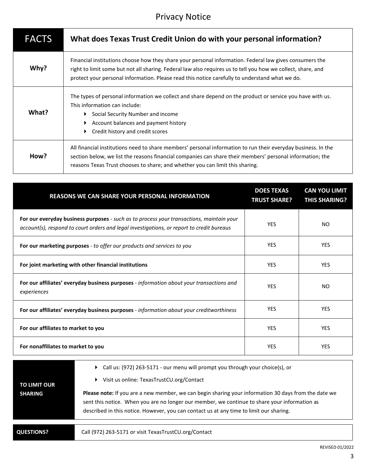## Privacy Notice

<span id="page-2-0"></span>

| <b>FACTS</b> | What does Texas Trust Credit Union do with your personal information?                                                                                                                                                                                                                                                     |
|--------------|---------------------------------------------------------------------------------------------------------------------------------------------------------------------------------------------------------------------------------------------------------------------------------------------------------------------------|
| Why?         | Financial institutions choose how they share your personal information. Federal law gives consumers the<br>right to limit some but not all sharing. Federal law also requires us to tell you how we collect, share, and<br>protect your personal information. Please read this notice carefully to understand what we do. |
| What?        | The types of personal information we collect and share depend on the product or service you have with us.<br>This information can include:<br>Social Security Number and income<br>Account balances and payment history<br>Credit history and credit scores                                                               |
| How?         | All financial institutions need to share members' personal information to run their everyday business. In the<br>section below, we list the reasons financial companies can share their members' personal information; the<br>reasons Texas Trust chooses to share; and whether you can limit this sharing.               |

| REASONS WE CAN SHARE YOUR PERSONAL INFORMATION                                                                                                                                        | <b>DOES TEXAS</b><br><b>TRUST SHARE?</b> | <b>CAN YOU LIMIT</b><br><b>THIS SHARING?</b> |
|---------------------------------------------------------------------------------------------------------------------------------------------------------------------------------------|------------------------------------------|----------------------------------------------|
| For our everyday business purposes - such as to process your transactions, maintain your<br>account(s), respond to court orders and legal investigations, or report to credit bureaus | <b>YFS</b>                               | NO                                           |
| For our marketing purposes - to offer our products and services to you                                                                                                                | <b>YFS</b>                               | <b>YFS</b>                                   |
| For joint marketing with other financial institutions                                                                                                                                 | <b>YFS</b>                               | <b>YFS</b>                                   |
| For our affiliates' everyday business purposes - information about your transactions and<br>experiences                                                                               | <b>YES</b>                               | NO                                           |
| For our affiliates' everyday business purposes - information about your creditworthiness                                                                                              | <b>YES</b>                               | <b>YES</b>                                   |
| For our affiliates to market to you                                                                                                                                                   | <b>YES</b>                               | <b>YES</b>                                   |
| For nonaffiliates to market to you                                                                                                                                                    | <b>YES</b>                               | <b>YES</b>                                   |

| <b>TO LIMIT OUR</b><br><b>SHARING</b> | ► Call us: (972) 263-5171 - our menu will prompt you through your choice(s), or<br>Visit us online: TexasTrustCU.org/Contact                                                                                                                                                                            |
|---------------------------------------|---------------------------------------------------------------------------------------------------------------------------------------------------------------------------------------------------------------------------------------------------------------------------------------------------------|
|                                       | <b>Please note:</b> If you are a new member, we can begin sharing your information 30 days from the date we<br>sent this notice. When you are no longer our member, we continue to share your information as<br>described in this notice. However, you can contact us at any time to limit our sharing. |
|                                       |                                                                                                                                                                                                                                                                                                         |
| <b>QUESTIONS?</b>                     | Call (972) 263-5171 or visit TexasTrustCU.org/Contact                                                                                                                                                                                                                                                   |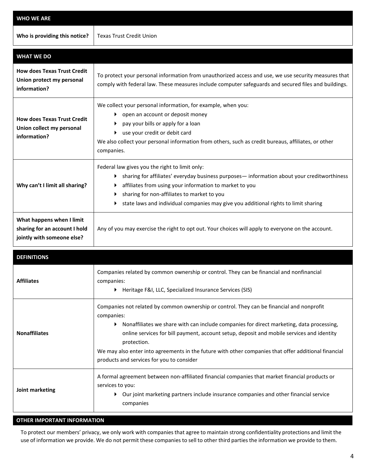| <b>WHO WE ARE</b>                                                                        |                                                                                                                                                                                                                                                                                                                                                                                                                                                                           |  |  |  |
|------------------------------------------------------------------------------------------|---------------------------------------------------------------------------------------------------------------------------------------------------------------------------------------------------------------------------------------------------------------------------------------------------------------------------------------------------------------------------------------------------------------------------------------------------------------------------|--|--|--|
| Who is providing this notice?                                                            | <b>Texas Trust Credit Union</b>                                                                                                                                                                                                                                                                                                                                                                                                                                           |  |  |  |
| <b>WHAT WE DO</b>                                                                        |                                                                                                                                                                                                                                                                                                                                                                                                                                                                           |  |  |  |
| <b>How does Texas Trust Credit</b><br>Union protect my personal<br>information?          | To protect your personal information from unauthorized access and use, we use security measures that<br>comply with federal law. These measures include computer safeguards and secured files and buildings.                                                                                                                                                                                                                                                              |  |  |  |
| <b>How does Texas Trust Credit</b><br>Union collect my personal<br>information?          | We collect your personal information, for example, when you:<br>open an account or deposit money<br>▶<br>pay your bills or apply for a loan<br>use your credit or debit card<br>We also collect your personal information from others, such as credit bureaus, affiliates, or other<br>companies.                                                                                                                                                                         |  |  |  |
| Why can't I limit all sharing?                                                           | Federal law gives you the right to limit only:<br>sharing for affiliates' everyday business purposes- information about your creditworthiness<br>▸<br>affiliates from using your information to market to you<br>sharing for non-affiliates to market to you<br>state laws and individual companies may give you additional rights to limit sharing                                                                                                                       |  |  |  |
| What happens when I limit<br>sharing for an account I hold<br>jointly with someone else? | Any of you may exercise the right to opt out. Your choices will apply to everyone on the account.                                                                                                                                                                                                                                                                                                                                                                         |  |  |  |
| <b>DEFINITIONS</b>                                                                       |                                                                                                                                                                                                                                                                                                                                                                                                                                                                           |  |  |  |
| <b>Affiliates</b>                                                                        | Companies related by common ownership or control. They can be financial and nonfinancial<br>companies:<br>▶ Heritage F&I, LLC, Specialized Insurance Services (SIS)                                                                                                                                                                                                                                                                                                       |  |  |  |
| <b>Nonaffiliates</b>                                                                     | Companies not related by common ownership or control. They can be financial and nonprofit<br>companies:<br>Nonaffiliates we share with can include companies for direct marketing, data processing,<br>▶<br>online services for bill payment, account setup, deposit and mobile services and identity<br>protection.<br>We may also enter into agreements in the future with other companies that offer additional financial<br>products and services for you to consider |  |  |  |
| Joint marketing                                                                          | A formal agreement between non-affiliated financial companies that market financial products or<br>services to you:<br>• Our joint marketing partners include insurance companies and other financial service<br>companies                                                                                                                                                                                                                                                |  |  |  |

## **OTHER IMPORTANT INFORMATION**

To protect our members' privacy, we only work with companies that agree to maintain strong confidentiality protections and limit the use of information we provide. We do not permit these companies to sell to other third parties the information we provide to them.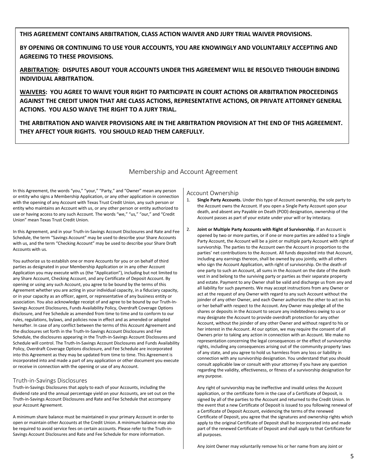## **THIS AGREEMENT CONTAINS ARBITRATION, CLASS ACTION WAIVER AND JURY TRIAL WAIVER PROVISIONS.**

**BY OPENING OR CONTINUING TO USE YOUR ACCOUNTS, YOU ARE KNOWINGLY AND VOLUNTARILY ACCEPTING AND AGREEING TO THESE PROVISIONS.**

**ARBITRATION: DISPUTES ABOUT YOUR ACCOUNTS UNDER THIS AGREEMENT WILL BE RESOLVED THROUGH BINDING INDIVIDUAL ARBITRATION.**

**WAIVERS: YOU AGREE TO WAIVE YOUR RIGHT TO PARTICIPATE IN COURT ACTIONS OR ARBITRATION PROCEEDINGS AGAINST THE CREDIT UNION THAT ARE CLASS ACTIONS, REPRESENTATIVE ACTIONS, OR PRIVATE ATTORNEY GENERAL ACTIONS. YOU ALSO WAIVE THE RIGHT TO A JURY TRIAL.**

**THE ARBITRATION AND WAIVER PROVISIONS ARE IN THE ARBITRATION PROVISION AT THE END OF THIS AGREEMENT. THEY AFFECT YOUR RIGHTS. YOU SHOULD READ THEM CAREFULLY.** 

## Membership and Account Agreement

<span id="page-4-0"></span>In this Agreement, the words "you," "your," "Party," and "Owner" mean any person or entity who signs a Membership Application, or any other application in connection with the opening of any Account with Texas Trust Credit Union, any such person or entity who maintains an Account with us, or any other person or entity authorized to use or having access to any such Account. The words "we," "us," "our," and "Credit Union" mean Texas Trust Credit Union.

In this Agreement, and in your Truth-in-Savings Account Disclosures and Rate and Fee Schedule, the term "Savings Account" may be used to describe your Share Accounts with us, and the term "Checking Account" may be used to describe your Share Draft Accounts with us.

You authorize us to establish one or more Accounts for you or on behalf of third parties as designated in your Membership Application or in any other Account Application you may execute with us (the "Application"), including but not limited to any Share Account, Checking Account, and any Certificate of Deposit Account. By opening or using any such Account, you agree to be bound by the terms of this Agreement whether you are acting in your individual capacity, in a fiduciary capacity, or in your capacity as an officer, agent, or representative of any business entity or association. You also acknowledge receipt of and agree to be bound by our Truth-In-Savings Account Disclosures, Funds Availability Policy, Overdraft Coverage Options disclosure, and Fee Schedule as amended from time to time and to conform to our rules, regulations, bylaws, and policies now in effect and as amended or adopted hereafter. In case of any conflict between the terms of this Account Agreement and the disclosures set forth in the Truth-In-Savings Account Disclosures and Fee Schedule, the disclosures appearing in the Truth-in-Savings Account Disclosures and Schedule will control. The Truth-In-Savings Account Disclosures and Funds Availability Policy, Overdraft Coverage Options disclosure, and Fee Schedule are incorporated into this Agreement as they may be updated from time to time. This Agreement is incorporated into and made a part of any application or other document you execute or receive in connection with the opening or use of any Account.

## <span id="page-4-1"></span>Truth-in-Savings Disclosures

Truth-in-Savings Disclosures that apply to each of your Accounts, including the dividend rate and the annual percentage yield on your Accounts, are set out on the Truth-in-Savings Account Disclosures and Rate and Fee Schedule that accompany your Account Agreement.

A minimum share balance must be maintained in your primary Account in order to open or maintain other Accounts at the Credit Union. A minimum balance may also be required to avoid service fees on certain accounts. Please refer to the Truth-in-Savings Account Disclosures and Rate and Fee Schedule for more information.

## <span id="page-4-2"></span>Account Ownership

- 1. **Single Party Accounts.** Under this type of Account ownership, the sole party to the Account owns the Account. If you open a Single Party Account upon your death, and absent any Payable on Death (POD) designation, ownership of the Account passes as part of your estate under your will or by intestacy.
- 2. **Joint or Multiple Party Accounts with Right of Survivorship.** If an Account is opened by two or more parties, or if one or more parties are added to a Single Party Account, the Account will be a joint or multiple party Account with right of survivorship. The parties to the Account own the Account in proportion to the parties' net contributions to the Account. All funds deposited into that Account, including any earnings thereon, shall be owned by you jointly, with all others who sign the Account Application, with right of survivorship. On the death of one party to such an Account, all sums in the Account on the date of the death vest in and belong to the surviving party or parties as their separate property and estate. Payment to any Owner shall be valid and discharge us from any and all liability for such payments. We may accept instructions from any Owner or act at the request of any Owner with regard to any such Account without the joinder of any other Owner, and each Owner authorizes the other to act on his or her behalf with respect to the Account. Any Owner may pledge all of the shares or deposits in the Account to secure any indebtedness owing to us or may designate the Account to provide overdraft protection for any other Account, without the joinder of any other Owner and without regard to his or her interest in the Account. At our option, we may require the consent of all Owners prior to taking any action in connection with an Account. We make no representation concerning the legal consequences or the effect of survivorship rights, including any consequences arising out of the community property laws of any state, and you agree to hold us harmless from any loss or liability in connection with any survivorship designation. You understand that you should consult applicable law or consult with your attorney if you have any question regarding the validity, effectiveness, or fitness of a survivorship designation for any purpose.

Any right of survivorship may be ineffective and invalid unless the Account application, or the certificate form in the case of a Certificate of Deposit, is signed by all of the parties to the Account and returned to the Credit Union. In the event that a new Certificate of Deposit is issued to you following renewal of a Certificate of Deposit Account, evidencing the terms of the renewed Certificate of Deposit, you agree that the signatures and ownership rights which apply to the original Certificate of Deposit shall be incorporated into and made part of the renewed Certificate of Deposit and shall apply to that Certificate for all purposes.

Any Joint Owner may voluntarily remove his or her name from any Joint or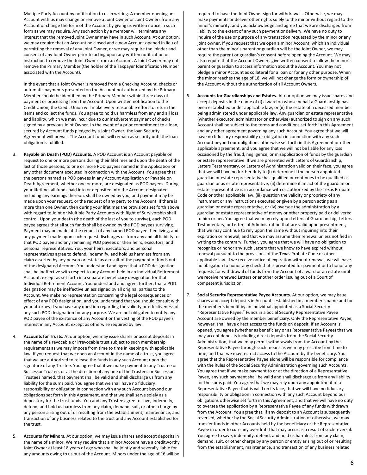Multiple Party Account by notification to us in writing. A member opening an Account with us may change or remove a Joint Owner or Joint Owners from any Account or change the form of the Account by giving us written notice in such form as we may require. Any such action by a member will terminate any interest that the removed Joint Owner may have in such Account. At our option, we may require that an Account be closed and a new Account opened in lieu of permitting the removal of any Joint Owner, or we may require the joinder and consent of any Joint Owner prior to acting upon any written notification or instruction to remove the Joint Owner from an Account. A Joint Owner may not remove the Primary Member (the holder of the Taxpayer Identification Number associated with the Account).

In the event that a Joint Owner is removed from a Checking Account, checks or automatic payments presented on the Account not authorized by the Primary Member should be identified by the Primary Member within three days of payment or processing from the Account. Upon written notification to the Credit Union, the Credit Union will make every reasonable effort to return the items and collect the funds. You agree to hold us harmless from any and all loss and liability, which we may incur due to our inadvertent payment of checks signed by a previous Joint Owner. In the event of a prior commitment to a loan, secured by Account funds pledged by a Joint Owner, the loan Security Agreement will prevail. The Account funds will remain as security until the loan obligation is fulfilled.

- Payable on Death (POD) Accounts. A POD Account is an Account payable on request to one or more persons during their lifetimes and upon the death of the last of those persons, to one or more POD payees named in the Application or any other document executed in connection with the Account. You agree that the persons named as POD payees in any Account Application or Payable on Death Agreement, whether one or more, are designated as POD payees. During your lifetime, all funds paid into or deposited into the Account designated, including any earnings thereon, shall be owned by you, and payment may be made upon your request, or the request of any party to the Account. If there is more than one Owner, then during your lifetimes the provisions set forth above with regard to Joint or Multiple Party Accounts with Right of Survivorship shall control. Upon your death (the death of the last of you to survive), each POD payee agrees that all such funds shall be owned by the POD payees surviving. Payment may be made at the request of any named POD payee then living, and any payment made upon such request discharges us from any and all liability to that POD payee and any remaining POD payees or their heirs, executors, and personal representatives. You, your heirs, executors, and personal representatives agree to defend, indemnify, and hold us harmless from any claim asserted by any person or estate as a result of the payment of funds out of the designated Account. You understand and agree that a POD designation shall be ineffective with respect to any Account held in an Individual Retirement Account, except as set forth in a separate beneficiary designation for that Individual Retirement Account. You understand and agree, further, that a POD designation may be ineffective unless signed by all original parties to the Account. We make no representation concerning the legal consequences or effect of any POD designation, and you understand that you should consult with your attorney if you have any question regarding the validity or effectiveness of any such POD designation for any purpose. We are not obligated to notify any POD payee of the existence of any Account or the vesting of the POD payee's interest in any Account, except as otherwise required by law.
- 4. **Accounts for Trusts.** At our option, we may issue shares or accept deposits in the name of a revocable or irrevocable trust subject to such membership requirements as we may impose from time to time in keeping with applicable law. If you request that we open an Account in the name of a trust, you agree that we are authorized to release the funds in any such Account upon the signature of any Trustee. You agree that if we make payment to any Trustee or Successor Trustee, or at the direction of any one of the Trustees or Successor Trustees named, that payment shall be valid and shall discharge us from any liability for the sums paid. You agree that we shall have no fiduciary responsibility or obligation in connection with any such Account beyond our obligations set forth in this Agreement, and that we shall serve solely as a depository for the trust funds. You and any Trustee agree to save, indemnify, defend, and hold us harmless from any claim, demand, suit, or other charge by any person arising out of or resulting from the establishment, maintenance, and transaction of any business related to the trust and any Account established for the trust.
- 5. **Accounts for Minors.** At our option, we may issue shares and accept deposits in the name of a minor. We may require that a minor Account have a creditworthy Joint Owner at least 18 years of age who shall be jointly and severally liable for any amounts owing to us out of the Account. Minors under the age of 16 will be

required to have the Joint Owner sign for withdrawals. Otherwise, we may make payments or deliver other rights solely to the minor without regard to the minor's minority, and you acknowledge and agree that we are discharged from liability to the extent of any such payment or delivery. We have no duty to inquire of the use or purpose of any transaction requested by the minor or any joint owner. If you request that we open a minor Account, which an individual other than the minor's parent or guardian will be the Joint Owner, we may require the parent or guardian's consent before opening the Account. We may also require that the Account Owners give written consent to allow the minor's parent or guardian to access information about the Account. You may not pledge a minor Account as collateral for a loan or for any other purpose. When the minor reaches the age of 18, we will not change the form or ownership of the Account without the authorization of all Account Owners.

- 6. **Accounts for Guardianships and Estates.** At our option we may issue shares and accept deposits in the name of (i) a ward on whose behalf a Guardianship has been established under applicable law, or (ii) the estate of a deceased member being administered under applicable law. Any guardian or estate representative (whether executor, administrator or otherwise) authorized to sign on any such Account shall be subject to the terms and conditions set forth in this Agreement and any other agreement governing any such Account. You agree that we will have no fiduciary responsibility or obligation in connection with any such Account beyond our obligations otherwise set forth in this Agreement or other applicable agreement, and you agree that we will not be liable for any loss occasioned by the fraud, negligence, or misapplication of funds by the guardian or estate representative. If we are presented with Letters of Guardianship, Letters Testamentary, or Letters of Administration valid on their face, you agree that we will have no further duty to (i) determine if the person appointed guardian or estate representative has qualified or continues to be qualified as guardian or as estate representative, (ii) determine if an act of the guardian or estate representative is in accordance with or authorized by the Texas Probate Code or other applicable law, (iii) question the validity or propriety of any instrument or any instructions executed or given by a person acting as a guardian or estate representative, or (iv) oversee the administration by a guardian or estate representative of money or other property paid or delivered to him or her. You agree that we may rely upon Letters of Guardianship, Letters Testamentary, or Letters of Administration that are valid upon presentment, that we may continue to rely upon the same without inquiring into their expiration or renewal, and that we may assume their renewal unless notified in writing to the contrary. Further, you agree that we will have no obligation to recognize or honor any such Letters that we know to have expired without renewal pursuant to the provisions of the Texas Probate Code or other applicable law. If we receive notice of expiration without renewal, we will have no obligation to honor any check that is presented for payment or to honor any requests for withdrawal of funds from the Account of a ward or an estate until we receive renewed Letters or another order issuing out of a Court of competent jurisdiction.
- 7. **Social Security Representative Payee Accounts.** At our option, we may issue shares and accept deposits in Accounts established in a member's name and for the member's benefit by an individual appointed as a Social Security "Representative Payee." Funds in a Social Security Representative Payee Account are owned by the member beneficiary. Only the Representative Payee, however, shall have direct access to the funds on deposit. If an Account is opened, you agree (whether as beneficiary or as Representative Payee) that we may accept deposits including direct deposits from the Social Security Administration, that we may permit withdrawals from the Account by the Representative Payee through such means as we may prescribe from time to time, and that we may restrict access to the Account by the beneficiary. You agree that the Representative Payee alone will be responsible for compliance with the Rules of the Social Security Administration governing such Accounts. You agree that if we make payment to or at the direction of a Representative Payee, any such payment shall be valid and shall discharge us from any liability for the sums paid. You agree that we may rely upon any appointment of a Representative Payee that is valid on its face, that we will have no fiduciary responsibility or obligation in connection with any such Account beyond our obligations otherwise set forth in this Agreement, and that we will have no duty to oversee the application by a Representative Payee of any funds withdrawn from the Account. You agree that, if any deposit to an Account is subsequently reversed, whether by the Social Security Administration or otherwise, we may transfer funds in other Accounts held by the beneficiary or the Representative Payee in order to cure any overdraft that may occur as a result of such reversal. You agree to save, indemnify, defend, and hold us harmless from any claim, demand, suit, or other charge by any person or entity arising out of or resulting from the establishment, maintenance, and transaction of any business related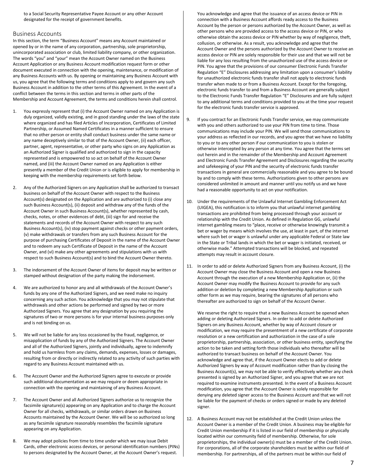to a Social Security Representative Payee Account or any other Account designated for the receipt of government benefits.

### <span id="page-6-0"></span>Business Accounts

In this section, the term "Business Account" means any Account maintained or opened by or in the name of any corporation, partnership, sole proprietorship, unincorporated association or club, limited liability company, or other organization. The words "you" and "your" mean the Account Owner named on the Business Account Application or any Business Account modification request form or other document executed in connection with the opening, maintenance, or modification of any Business Accounts with us. By opening or maintaining any Business Account with us, you agree that the following terms and conditions apply to and govern any such Business Account in addition to the other terms of this Agreement. In the event of a conflict between the terms in this section and terms in other parts of the Membership and Account Agreement, the terms and conditions herein shall control.

- 1. You expressly represent that (i) the Account Owner named on any Application is duly organized, validly existing, and in good standing under the laws of the state where organized and has filed Articles of Incorporation, Certificates of Limited Partnership, or Assumed Named Certificates in a manner sufficient to ensure that no other person or entity shall conduct business under the same name or any name deceptively similar to that of the Account Owner, (ii) each officer, partner, agent, representative, or other party who signs on any Application as an Authorized Signer is qualified and authorized to sign in the capacity represented and is empowered to so act on behalf of the Account Owner named, and (iii) the Account Owner named on any Application is either presently a member of the Credit Union or is eligible to apply for membership in keeping with the membership requirements set forth below.
- 2. Any of the Authorized Signers on any Application shall be authorized to transact business on behalf of the Account Owner with respect to the Business Account(s) designated on the Application and are authorized to (i) close any such Business Account(s), (ii) deposit and withdraw any of the funds of the Account Owner in such Business Account(s), whether represented by cash, checks, notes, or other evidences of debt, (iii) sign for and receive the statements and records of the Account Owner with respect to any such Business Account(s), (iv) stop payment against checks or other payment orders, (v) make withdrawals or transfers from any such Business Account for the purpose of purchasing Certificates of Deposit in the name of the Account Owner and to redeem any such Certificate of Deposit in the name of the Account Owner, and (vi) make any other agreements and stipulations with us with respect to such Business Account(s) and to bind the Account Owner thereto.
- 3. The indorsement of the Account Owner of items for deposit may be written or stamped without designation of the party making the indorsement.
- 4. We are authorized to honor any and all withdrawals of the Account Owner's funds by any one of the Authorized Signers, and we need make no inquiry concerning any such action. You acknowledge that you may not stipulate that withdrawals and other actions be performed and signed by two or more Authorized Signers. You agree that any designation by you requiring the signatures of two or more persons is for your internal business purposes only and is not binding on us.
- 5. We will not be liable for any loss occasioned by the fraud, negligence, or misapplication of funds by any of the Authorized Signers. The Account Owner and all of the Authorized Signers, jointly and individually, agree to indemnify and hold us harmless from any claims, demands, expenses, losses or damages, resulting from or directly or indirectly related to any activity of such parties with regard to any Business Account maintained with us.
- The Account Owner and the Authorized Signers agree to execute or provide such additional documentation as we may require or deem appropriate in connection with the opening and maintaining of any Business Account.
- 7. The Account Owner and all Authorized Signers authorize us to recognize the facsimile signature(s) appearing on any Application and to charge the Account Owner for all checks, withdrawals, or similar orders drawn on Business Accounts maintained by the Account Owner. We will be so authorized so long as any facsimile signature reasonably resembles the facsimile signature appearing on any Application.
- 8. We may adopt policies from time to time under which we may issue Debit Cards, other electronic access devices, or personal identification numbers (PINs) to persons designated by the Account Owner, at the Account Owner's request.

You acknowledge and agree that the issuance of an access device or PIN in connection with a Business Account affords ready access to the Business Account by the person or persons authorized by the Account Owner, as well as other persons who are provided access to the access device or PIN, or who otherwise obtain the access device or PIN whether by way of negligence, theft, collusion, or otherwise. As a result, you acknowledge and agree that the Account Owner and the persons authorized by the Account Owner to receive an access device or PIN are solely responsible for their use and that we will not be liable for any loss resulting from the unauthorized use of the access device or PIN. You agree that the provisions of our consumer Electronic Funds Transfer Regulation "E" Disclosures addressing any limitation upon a consumer's liability for unauthorized electronic funds transfer shall not apply to electronic funds transfer when made to or from a Business Account. Except for the foregoing, electronic funds transfer to and from a Business Account are generally subject to the Electronic Funds Transfer Regulation "E" Disclosures and are fully subject to any additional terms and conditions provided to you at the time your request for the electronic funds transfer service is approved.

- 9. If you contract for an Electronic Funds Transfer service, we may communicate with you and others authorized to use your PIN from time to time. Those communications may include your PIN. We will send those communications to your address as reflected in our records, and you agree that we have no liability to you or to any other person if our communication to you is stolen or otherwise intercepted by any person at any time. You agree that the terms set out herein and in the remainder of the Membership and Account Agreement and Electronic Funds Transfer Agreement and Disclosures regarding the security and safekeeping of your PIN and the security of electronic funds transfer transactions in general are commercially reasonable and you agree to be bound by and to comply with these terms. Authorizations given to other persons are considered unlimited in amount and manner until you notify us and we have had a reasonable opportunity to act on your notification.
- 10. Under the requirements of the Unlawful Internet Gambling Enforcement Act (UIGEA), this notification is to inform you that unlawful internet gambling transactions are prohibited from being processed through your account or relationship with the Credit Union. As defined in Regulation GG, unlawful internet gambling means to "place, receive or otherwise knowingly transmit a bet or wager by means which involves the use, at least in part, of the internet where such bet or wager is unlawful under any applicable Federal or State law in the State or Tribal lands in which the bet or wager is initiated, received, or otherwise made." Attempted transactions will be blocked, and repeated attempts may result in account closure.
- 11. In order to add or delete Authorized Signers from any Business Account, (i) the Account Owner may close the Business Account and open a new Business Account through the execution of a new Membership Application or, (ii) the Account Owner may modify the Business Account to provide for any such addition or deletion by completing a new Membership Application or such other form as we may require, bearing the signatures of all persons who thereafter are authorized to sign on behalf of the Account Owner.

We reserve the right to require that a new Business Account be opened when adding or deleting Authorized Signers. In order to add or delete Authorized Signers on any Business Account, whether by way of Account closure or modification, we may require the presentment of a new certificate of corporate resolution or a new certification and authorization in the case of a sole proprietorship, partnership, association, or other business entity, specifying the action to be taken and setting forth those individuals who thereafter will be authorized to transact business on behalf of the Account Owner. You acknowledge and agree that, if the Account Owner elects to add or delete Authorized Signers by way of Account modification rather than by closing the Business Account(s), we may not be able to verify effectively whether any check presented is signed by an Authorized Signer, and you agree that we are not required to examine instruments presented. In the event of a Business Account modification, you agree that the Account Owner is solely responsible for denying any deleted signer access to the Business Account and that we will not be liable for the payment of checks or orders signed or made by any deleted signer.

12. A Business Account may not be established at the Credit Union unless the Account Owner is a member of the Credit Union. A business may be eligible for Credit Union membership if it is listed in our field of membership or physically located within our community field of membership. Otherwise, for sole proprietorships, the individual owner(s) must be a member of the Credit Union. For corporations, all of the corporate shareholders must be within our field of membership. For partnerships, all of the partners must be within our field of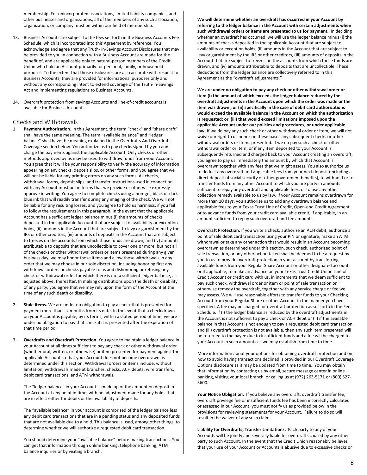membership. For unincorporated associations, limited liability companies, and other businesses and organizations, all of the members of any such association, organization, or company must be within our field of membership.

- 13. Business Accounts are subject to the fees set forth in the Business Accounts Fee Schedule, which is incorporated into this Agreement by reference. You acknowledge and agree that any Truth- in-Savings Account Disclosures that may be provided to you in connection with a Business Account are made for the benefit of, and are applicable only to natural-person members of the Credit Union who hold an Account primarily for personal, family, or household purposes. To the extent that those disclosures are also accurate with respect to Business Accounts, they are provided for informational purposes only and without any corresponding intent to extend coverage of the Truth-in-Savings Act and implementing regulations to Business Accounts.
- 14. Overdraft protection from savings Accounts and line-of-credit accounts is available for Business Accounts.

## <span id="page-7-0"></span>Checks and Withdrawals

- Payment Authorization. In this Agreement, the term "check" and "share draft" shall have the same meaning. The term "available balance" and "ledger balance" shall have the meaning explained in the Overdrafts And Overdraft Coverage section below. You authorize us to pay checks signed by you and charge the payments against the applicable Account. Only checks or other methods approved by us may be used to withdraw funds from your Account. You agree that it will be your responsibility to verify the accuracy of information appearing on any checks, deposit slips, or other forms, and you agree that we will not be liable for any printing errors on any such forms. All checks, withdrawal forms, deposit slips, and transfer instructions used in connection with any Account must be on forms that we provide or otherwise expressly approve in writing. You agree to complete checks using a non-gel, black or dark blue ink that will readily transfer during any imaging of the check. We will not be liable for any resulting losses, and you agree to hold us harmless, if you fail to follow the requirements in this paragraph. In the event that the applicable Account has a sufficient ledger balance minus (i) the amounts of checks deposited in the applicable Account that are subject to availability or exception holds, (ii) amounts in the Account that are subject to levy or garnishment by the IRS or other creditors, (iii) amounts of deposits in the Account that are subject to freezes on the accounts from which those funds are drawn, and (iv) amounts attributable to deposits that are uncollectible to cover one or more, but not all of the checks or other withdrawal orders or items presented during any given business day, we may honor those items and allow those withdrawals in any order that we may choose in our sole discretion, including honoring first any withdrawal orders or checks payable to us and dishonoring or refusing any check or withdrawal order for which there is not a sufficient ledger balance, as adjusted above, thereafter. In making distributions upon the death or disability of any party, you agree that we may rely upon the form of the Account at the time of any such death or disability.
- 2. **Stale Items.** We are under no obligation to pay a check that is presented for payment more than six months from its date. In the event that a check drawn on your Account is payable, by its terms, within a stated period of time, we are under no obligation to pay that check if it is presented after the expiration of that time period.
- 3. **Overdrafts and Overdraft Protection.** You agree to maintain a ledger balance in your Account at all times sufficient to pay any check or other withdrawal order (whether oral, written, or otherwise) or item presented for payment against the applicable Account so that your Account does not become overdrawn as determined under this section. Withdrawal orders or items include, without limitation, withdrawals made at branches, checks, ACH debits, wire transfers, debit card transactions, and ATM withdrawals.

The "ledger balance" in your Account is made up of the amount on deposit in the Account at any point in time, with no adjustment made for any holds that are in effect either for debits or the availability of deposits.

The "available balance" in your account is comprised of the ledger balance less any debit card transactions that are in a pending status and any deposited funds that are not available due to a hold. This balance is used, among other things, to determine whether we will authorize a requested debit card transaction.

You should determine your "available balance" before making transactions. You can get that information through online banking, telephone banking, ATM balance inquiries or by visiting a branch.

**We will determine whether an overdraft has occurred in your Account by referring to the ledger balance in the Account with certain adjustments when such withdrawal orders or items are presented to us for payment.** In deciding whether an overdraft has occurred, we will use the ledger balance minus (i) the amounts of checks deposited in the applicable Account that are subject to availability or exception holds, (ii) amounts in the Account that are subject to levy or garnishment by the IRS or other creditors, (iii) amounts of deposits in the Account that are subject to freezes on the accounts from which those funds are drawn, and (iv) amounts attributable to deposits that are uncollectible. These deductions from the ledger balance are collectively referred to in this Agreement as the "overdraft adjustments."

**We are under no obligation to pay any check or other withdrawal order or item (i) the amount of which exceeds the ledger balance reduced by the overdraft adjustments in the Account upon which the order was made or the item was drawn , or (ii) specifically in the case of debit card authorizations would exceed the available balance in the Account on which the authorization is requested; or (iii) that would exceed limitations imposed upon the applicable Account under our policies and procedures, or under applicable law.** If we do pay any such check or other withdrawal order or item, we will not waive our right to dishonor on these bases any subsequent checks or other withdrawal orders or items presented. If we do pay such a check or other withdrawal order or item, or if any item deposited to your Account is subsequently returned and charged back to your Account creating an overdraft, you agree to pay us immediately the amount by which that Account is overdrawn together with any fees that we might assess. You also authorize us to deduct any overdraft and applicable fees from your next deposit (including a direct deposit of social security or other government benefits), to withhold or to transfer funds from any other Account to which you are party in amounts sufficient to repay any overdraft and applicable fees, or to use any other collection remedy available to us by law. If your Account remains overdrawn for more than 10 days, you authorize us to add any overdrawn balance and applicable fees to your Texas Trust Line of Credit, Open-end Credit Agreement, or to advance funds from your credit card available credit, if applicable, in an amount sufficient to repay such overdraft and fee amounts.

**Overdraft Protection.** If you write a check, authorize an ACH debit, authorize a point of sale debit card transaction using your PIN or signature, make an ATM withdrawal or take any other action that would result in an Account becoming overdrawn as determined under this section, such check, authorized point of sale transaction, or any other action taken shall be deemed to be a request by you to us to provide overdraft protection in your account by transferring available funds from your Regular Share Account or other designated account, or if applicable, to make an advance on your Texas Trust Credit Union Line of Credit Account or credit card with us, in increments that we deem sufficient to pay such check, withdrawal order or item or point of sale transaction or otherwise remedy the overdraft, together with any service charge or fee we may assess. We will use reasonable efforts to transfer funds to your Checking Account from your Regular Share or other Account in the manner you have specified. A fee may be charged for overdraft protection as set forth in the Fee Schedule. If (i) the ledger balance as reduced by the overdraft adjustments in the Account is not sufficient to pay a check or ACH debit or (ii) if the available balance in that Account is not enough to pay a requested debit card transaction, and (iii) overdraft protection is not available, then any such item presented will be returned to the payee due to insufficient funds and a fee will be charged to your Account in such amounts as we may establish from time to time.

More information about your options for obtaining overdraft protection and on how to avoid having transactions declined is provided in our Overdraft Coverage Options disclosure as it may be updated from time to time. You may obtain that information by contacting us by email, secure message center in online banking, visiting your local branch, or calling us at (972) 263-5171 or (800) 527- 3600.

Your Notice Obligation. If you believe any overdraft, overdraft transfer fee, overdraft privilege fee or insufficient funds fee has been incorrectly calculated or assessed in our Account, you must notify us as provided below in the provisions for reviewing statements for your Account. Failure to do so will result in the waiver of any such claim.

**Liability for Overdrafts; Transfer Limitations.** Each party to any of your Accounts will be jointly and severally liable for overdrafts caused by any other party to such Account. In the event that the Credit Union reasonably believes that your use of your Account or Accounts is abusive due to excessive checks or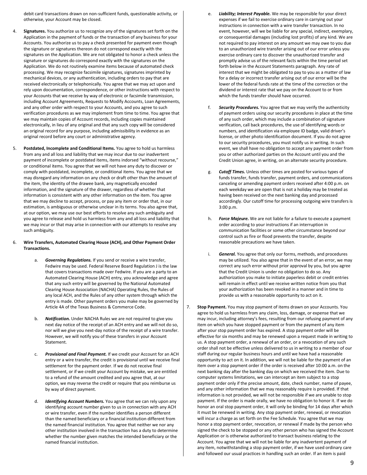debit card transactions drawn on non-sufficient funds, questionable activity, or otherwise, your Account may be closed.

- 4. **Signatures.** You authorize us to recognize any of the signatures set forth on the Application in the payment of funds or the transaction of any business for your Accounts. You authorize us to pay a check presented for payment even though the signature or signatures thereon do not correspond exactly with the signatures on the Application. We are not obligated to honor a check unless the signature or signatures do correspond exactly with the signatures on the Application. We do not routinely examine items because of automated check processing. We may recognize facsimile signatures, signatures imprinted by mechanical devices, or any authentication, including orders to pay that are received electronically or telephonically. You agree that we may act upon and rely upon documentation, correspondence, or other instructions with respect to your Accounts that we receive by way of electronic or facsimile transmission, including Account Agreements, Requests to Modify Accounts, Loan Agreements, and any other order with respect to your Accounts, and you agree to such verification procedures as we may implement from time to time. You agree that we may maintain copies of Account records, including copies maintained electronically, in lieu of any original and that any such copy will be considered an original record for any purpose, including admissibility in evidence as an original record before any court or administrative agency.
- Postdated, Incomplete and Conditional Items. You agree to hold us harmless from any and all loss and liability that we may incur due to our inadvertent payment of incomplete or postdated items, items indorsed "without recourse," or conditional items. You agree that we will not have any duty to discover or comply with postdated, incomplete, or conditional items. You agree that we may disregard any information on any check or draft other than the amount of the item, the identity of the drawee bank, any magnetically encoded information, and the signature of the drawer, regardless of whether that information is consistent with any other information on the item. You agree that we may decline to accept, process, or pay any item or order that, in our estimation, is ambiguous or otherwise unclear in its terms. You also agree that, at our option, we may use our best efforts to resolve any such ambiguity and you agree to release and hold us harmless from any and all loss and liability that we may incur or that may arise in connection with our attempts to resolve any such ambiguity.

### 6. **Wire Transfers, Automated Clearing House (ACH), and Other Payment Order Transactions.**

- a. *Governing Regulations.* If you send or receive a wire transfer, Fedwire may be used. Federal Reserve Board Regulation J is the law that covers transactions made over Fedwire. If you are a party to an Automated Clearing House (ACH) entry, you acknowledge and agree that any such entry will be governed by the National Automated Clearing House Association (NACHA) Operating Rules, the Rules of any local ACH, and the Rules of any other system through which the entry is made. Other payment orders you make may be governed by Article 4A of the Texas Business & Commerce Code.
- b. *Notification.* Under NACHA Rules we are not required to give you next day notice of the receipt of an ACH entry and we will not do so, nor will we give you next-day notice of the receipt of a wire transfer. However, we will notify you of these transfers in your Account **Statement**
- Provisional and Final Payment. If we credit your Account for an ACH entry or a wire transfer, the credit is provisional until we receive final settlement for the payment order. If we do not receive final settlement, or if we credit your Account by mistake, we are entitled to a refund of the amount credited and you agree that, at our option, we may reverse the credit or require that you reimburse us by way of direct payment.
- d. *Identifying Account Numbers.* You agree that we can rely upon any identifying account number given to us in connection with any ACH or wire transfer, even if the number identifies a person different than the named beneficiary or a financial institution different from the named financial institution. You agree that neither we nor any other institution involved in the transaction has a duty to determine whether the number given matches the intended beneficiary or the named financial institution.
- Liability; Interest Payable. We may be responsible for your direct expenses if we fail to exercise ordinary care in carrying out your instructions in connection with a wire transfer transaction. In no event, however, will we be liable for any special, indirect, exemplary, or consequential damages (including lost profits) of any kind. We are not required to pay interest on any amount we may owe to you due to an unauthorized wire transfer arising out of our error unless you exercise ordinary care to discover the unauthorized transfer and promptly advise us of the relevant facts within the time period set forth below in the Account Statements paragraph. Any rate of interest that we might be obligated to pay to you as a matter of law for a delay or incorrect transfer arising out of our error will be the lower of the federal funds rate at the time of the correction or the dividend or interest rate that we pay on the Account to or from which the funds transfer should have occurred.
- f. *Security Procedures.* You agree that we may verify the authenticity of payment orders using our security procedures in place at the time of any such order, which may include a combination of signature verification, call back procedures, the use of identifying words or numbers, and identification via employee ID badge, valid driver's license, or other photo identification document. If you do not agree to our security procedures, you must notify us in writing. In such event, we shall have no obligation to accept any payment order from you or other authorized parties on the Account until you and the Credit Union agree, in writing, on an alternate security procedure.
- Cutoff Times. Unless other times are posted for various types of funds transfer, funds transfer, payment orders, and communications canceling or amending payment orders received after 4:00 p.m. on each weekday we are open that is not a holiday may be treated as having been received on the next banking day and processed accordingly. Our cutoff time for processing outgoing wire transfers is 3:00 p.m.
- h. *Force Majeure.* We are not liable for a failure to execute a payment order according to your instructions if an interruption in communication facilities or some other circumstance beyond our control such as fire or flood prevents the transfer, despite reasonable precautions we have taken.
- i. *General.* You agree that only our forms, methods, and procedures may be utilized. You also agree that in the event of an error, we may correct any such error without prior approval by you, but you agree that the Credit Union is under no obligation to do so. Any authorization you make to initiate paperless debit or credit entries will remain in effect until we receive written notice from you that your authorization has been revoked in a manner and in time to provide us with a reasonable opportunity to act on it.
- 7. **Stop Payment.** You may stop payment of items drawn on your Accounts. You agree to hold us harmless from any claim, loss, damage, or expense that we may incur, including attorney's fees, resulting from our refusing payment of any item on which you have stopped payment or from the payment of any item after your stop payment order has expired. A stop payment order will be effective for six months and may be renewed upon a request made in writing to us. A stop payment order, a renewal of an order, or a revocation of any such order shall not be effective unless delivered to us in writing to a member of our staff during our regular business hours and until we have had a reasonable opportunity to act on it. In addition, we will not be liable for the payment of an item over a stop payment order if the order is received after 10:00 a.m. on the next banking day after the banking day on which we received the item. Due to computer systems limitations, we can intercept an item subject to a stop payment order only if the precise amount, date, check number, name of payee, and any other information that we may reasonably require is provided. If that information is not provided, we will not be responsible if we are unable to stop payment. If the order is made orally, we have no obligation to honor it. If we do honor an oral stop payment order, it will only be binding for 14 days after which it must be renewed in writing. Any stop payment order, renewal, or revocation will incur a charge as set forth on the Fee Schedule. You agree that we may honor a stop payment order, revocation, or renewal if made by the person who signed the check to be stopped or any other person who has signed the Account Application or is otherwise authorized to transact business relating to the Account. You agree that we will not be liable for any inadvertent payment of any item, notwithstanding a stop payment order, if we have used ordinary care and followed our usual practices in handling such an order. If an item is paid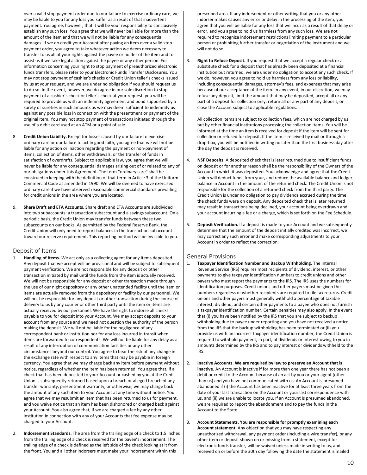over a valid stop payment order due to our failure to exercise ordinary care, we may be liable to you for any loss you suffer as a result of that inadvertent payment. You agree, however, that it will be your responsibility to conclusively establish any such loss. You agree that we will never be liable for more than the amount of the item and that we will not be liable for any consequential damages. If we do credit your Account after paying an item over a valid stop payment order, you agree to take whatever action we deem necessary to transfer to us all of your rights against the payee or holder of the item and to assist us if we take legal action against the payee or any other person. For information concerning your right to stop payment of preauthorized electronic funds transfers, please refer to your Electronic Funds Transfer Disclosures. You may not stop payment of cashier's checks or Credit Union teller's checks issued by us at your request, and we are under no obligation if you should request us to do so. In the event, however, we do agree in our sole discretion to stop payment of a cashier's check or teller's check at your request, you will be required to provide us with an indemnity agreement and bond supported by a surety or sureties in such amounts as we may deem sufficient to indemnify us against any possible loss in connection with the presentment or payment of the original item. You may not stop payment of transactions initiated through the use of a debit card used at an ATM or a point of sale.

- 8. **Credit Union Liability.** Except for losses caused by our failure to exercise ordinary care or our failure to act in good faith, you agree that we will not be liable for any action or inaction regarding the payment or non-payment of items, collection of items, other withdrawals, or the transfer of funds in satisfaction of overdrafts. Subject to applicable law, you agree that we will never be liable for any consequential damages arising out of or related to any of our obligations under this Agreement. The term "ordinary care" shall be construed in keeping with the definition of that term in Article 3 of the Uniform Commercial Code as amended in 1990. We will be deemed to have exercised ordinary care if we have observed reasonable commercial standards prevailing for credit unions in the area where you are located.
- 9. **Share Draft and ETA Accounts.** Share draft and ETA Accounts are subdivided into two subaccounts: a transaction subaccount and a savings subaccount. On a periodic basis, the Credit Union may transfer funds between these two subaccounts on our books. As permitted by the Federal Reserve Bank, the Credit Union will only need to report balances in the transaction subaccount toward our reserve requirement. This reporting method will be invisible to you.

## <span id="page-9-0"></span>Deposit of Items

- Handling of Items. We act only as a collecting agent for any items deposited. Any deposit that we accept will be provisional and will be subject to subsequent payment verification. We are not responsible for any deposit or other transaction initiated by mail until the funds from the item is actually received. We will not be responsible for any deposit or other transaction made through the use of our night depository or any other unattended facility until the item or items are actually removed from the depository or facility by our personnel. We will not be responsible for any deposit or other transaction during the course of delivery to us by any courier or other third party until the item or items are actually received by our personnel. We have the right to indorse all checks payable to you for deposit into your Account. We may accept deposits to your account from any source and we need not question the authority of the person making the deposit. We will not be liable for the negligence of any correspondent bank or institution nor for any loss incurred in transit when items are forwarded to correspondents. We will not be liable for any delay as a result of any interruption of communication facilities or any other circumstances beyond our control. You agree to bear the risk of any change in the exchange rate with respect to any items that may be payable in foreign currency. You agree that we may charge back any item before payment without notice, regardless of whether the item has been returned. You agree that, if a check that has been deposited to your Account or cashed by you at the Credit Union is subsequently returned based upon a breach or alleged breach of any transfer warranty, presentment warranty, or otherwise, we may charge back the amount of any such item to your Account at any time without notice. You agree that we may resubmit an item that has been returned to us for payment, and you waive notice that an item has been dishonored or charged back against your Account. You also agree that, if we are charged a fee by any other institution in connection with any of your Accounts that fee expense may be charged to your Account.
- 2. **Indorsement Standards.** The area from the trailing edge of a check to 1.5 inches from the trailing edge of a check is reserved for the payee's indorsement. The trailing edge of a check is defined as the left side of the check looking at it from the front. You and all other indorsers must make your indorsement within this

prescribed area. If any indorsement or other writing that you or any other indorser makes causes any error or delay in the processing of the item, you agree that you will be liable for any loss that we incur as a result of that delay or error, and you agree to hold us harmless from any such loss. We are not required to recognize indorsement restrictions limiting payment to a particular person or prohibiting further transfer or negotiation of the instrument and we will not do so.

3. **Right to Refuse Deposit.** If you request that we accept a regular check or a substitute check for a deposit that has already been deposited at a financial institution but returned, we are under no obligation to accept any such check. If we do, however, you agree to hold us harmless from any loss or liability, including consequential damages, attorney's fees, and expenses that may arise because of our acceptance of the item. In any event, in our discretion, we may refuse any deposit, limit the amount that may be deposited, accept all or any part of a deposit for collection only, return all or any part of any deposit, or close the Account subject to applicable regulations.

All collection items are subject to collection fees, which are not charged by us but by other financial institutions processing the collection items. You will be informed at the time an item is received for deposit if the item will be sent for collection or refused for deposit. If the item is received by mail or through a drop-box, you will be notified in writing no later than the first business day after the day the deposit is received.

- 4. **NSF Deposits.** A deposited check that is later returned due to insufficient funds on deposit or for another reason shall be the responsibility of the Owners of the Account in which it was deposited. You acknowledge and agree that the Credit Union will deduct funds from your, and reduce the available balance and ledger balance in Account in the amount of the returned check. The Credit Union is not responsible for the collection of a returned check from the third party. The Credit Union is under no obligation to pay dividends accrued during the time the check funds were on deposit. Any deposited check that is later returned may result in transactions being declined, your account being overdrawn and your account incurring a fee or a charge, which is set forth on the Fee Schedule.
- 5. **Deposit Verification.** If a deposit is made to your Account and we subsequently determine that the amount of the deposit initially credited was incorrect, we may correct any such error and make corresponding adjustments to your Account in order to reflect the correction.

## <span id="page-9-1"></span>General Provisions

- 1. **Taxpayer Identification Number and Backup Withholding**. The Internal Revenue Service (IRS) requires most recipients of dividend, interest, or other payments to give taxpayer identification numbers to credit unions and other payers who must report the payments to the IRS. The IRS uses the numbers for identification purposes. Credit unions and other payers must be given the numbers regardless of whether recipients are required to file tax returns. Credit unions and other payers must generally withhold a percentage of taxable interest, dividend, and certain other payments to a payee who does not furnish a taxpayer identification number. Certain penalties may also apply. In the event that (i) you have been notified by the IRS that you are subject to backup withholding due to payee under reporting and you have not received a notice from the IRS that the backup withholding has been terminated or (ii) you provide us with an incorrect taxpayer identification number, the Credit Union is required to withhold payment, in part, of dividends or interest owing to you in amounts determined by the IRS and to pay interest or dividends withheld to the IRS.
- 2. **Inactive Accounts. We are required by law to preserve an Account that is inactive.** An Account is inactive if for more than one year there has not been a debit or credit to the Account because of an act by you or your agent (other than us) and you have not communicated with us. An Account is presumed abandoned if (i) the Account has been inactive for at least three years from the date of your last transaction on the Account or your last correspondence with us, and (ii) we are unable to locate you. If an Account is presumed abandoned, we are required to report the abandonment and to pay the funds in the Account to the State.
- 3. **Account Statements. You are responsible for promptly examining each Account statement.** Any objection that you may have respecting any unauthorized withdrawal, any payment order (including a wire transfer), or any other item or deposit shown on or missing from a statement, except for electronic funds transfer, will be waived unless made in writing to us, and received on or before the 30th day following the date the statement is mailed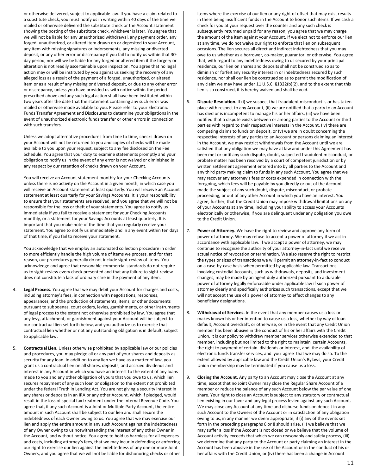or otherwise delivered, subject to applicable law. If you have a claim related to a substitute check, you must notify us in writing within 40 days of the time we mailed or otherwise delivered the substitute check or the Account statement showing the posting of the substitute check, whichever is later. You agree that we will not be liable for any unauthorized withdrawal, any payment order, any forged, unauthorized, or altered item drawn on or deposited to your Account, any item with missing signatures or indorsements, any missing or diverted deposit, or any other error or discrepancy if you fail to notify us within that 30 day period, nor will we be liable for any forged or altered item if the forgery or alteration is not readily ascertainable upon inspection. You agree that no legal action may or will be instituted by you against us seeking the recovery of any alleged loss as a result of the payment of a forged, unauthorized, or altered item or as a result of any missing or diverted deposit, or due to any other error or discrepancy, unless you have provided us with notice within the period prescribed above and any such legal action shall have been instituted within two years after the date that the statement containing any such error was mailed or otherwise made available to you. Please refer to your Electronic Funds Transfer Agreement and Disclosures to determine your obligations in the event of unauthorized electronic funds transfer or other errors in connection with such transfers.

Unless we adopt alternative procedures from time to time, checks drawn on your Account will not be returned to you and copies of checks will be made available to you upon your request, subject to any fee disclosed on the Fee Schedule. You agree that your duty to examine statements promptly and your obligation to notify us in the event of any error is not waived or diminished in any respect by our retention of checks drawn on your Account.

You will receive an Account statement monthly for your Checking Accounts unless there is no activity on the Account in a given month, in which case you will receive an Account statement at least quarterly. You will receive an Account statement at least quarterly for your Savings Accounts. It is your responsibility to ensure that your statements are received, and you agree that we will not be responsible for the loss or theft of your statements. You agree to notify us immediately if you fail to receive a statement for your Checking Accounts monthly, or a statement for your Savings Accounts at least quarterly. It is important that you make note of the time that you regularly receive your statement. You agree to notify us immediately and in any event within ten days of that time, if you fail to receive your statement.

You acknowledge that we employ an automated collection procedure in order to more efficiently handle the high volume of items we process, and for that reason, our procedures generally do not include sight-review of items. You acknowledge and agree that reasonable commercial standards do not require us to sight-review every check presented and that any failure to sight-review does not constitute a lack of ordinary care in the payment of any item.

- Legal Process. You agree that we may debit your Account for charges and costs, including attorney's fees, in connection with negotiations, responses, appearances, and the production of statements, items, or other documents pursuant to subpoenas, court orders, levies, garnishments, or other instruments of legal process to the extent not otherwise prohibited by law. You agree that any levy, attachment, or garnishment against your Account will be subject to our contractual lien set forth below, and you authorize us to exercise that contractual lien whether or not any outstanding obligation is in default, subject to applicable law.
- 5. **Contractual Lien.** Unless otherwise prohibited by applicable law or our policies and procedures, you may pledge all or any part of your shares and deposits as security for any loan. In addition to any lien we have as a matter of law, you grant us a contractual lien on all shares, deposits, and accrued dividends and interest in any Account in which you have an interest to the extent of any loans made to you and any other obligation of yours that you owe to us, which lien secures repayment of any such loan or obligation to the extent not prohibited under the federal Truth in Lending Act. You are not giving a security interest in any shares or deposits in an IRA or any other Account, which if pledged, would result in the loss of special tax treatment under the Internal Revenue Code. You agree that, if any such Account is a Joint or Multiple Party Account, the entire amount in such Account shall be subject to our lien and shall secure the indebtedness of each Owner owing to us. You agree that we may exercise our lien and apply the entire amount in any such Account against the indebtedness of any Owner owing to us notwithstanding the interest of any other Owner in the Account, and without notice. You agree to hold us harmless for all expenses and costs, including attorney's fees, that we may incur in defending or enforcing our right to exercise our lien against the indebtedness of any one or more Joint Owners, and you agree that we will not be liable for dishonoring checks or other

items where the exercise of our lien or any right of offset that may exist results in there being insufficient funds in the Account to honor such items. If we cash a check for you at your request over the counter and any such check is subsequently returned unpaid for any reason, you agree that we may charge the amount of the item against your Account. If we elect not to enforce our lien at any time, we do not waive our right to enforce that lien on subsequent occasions. The lien secures all direct and indirect indebtedness that you may owe to us whether as a borrower, co-maker, guarantor, or otherwise. You agree that, with regard to any indebtedness owing to us secured by your principal residence, our lien on shares and deposits shall not be construed so as to diminish or forfeit any security interest in or indebtedness secured by such residence, nor shall our lien be construed so as to permit the modification of any claim we may have under 11 U.S.C. §1322(b)(2), and to the extent that this lien is so construed, it is hereby waived and shall be void.

- 6. **Dispute Resolution.** If (i) we suspect that fraudulent misconduct is or has taken place with respect to any Account, (ii) we are notified that a party to an Account has died or is incompetent to manage his or her affairs, (iii) we have been notified that a dispute exists between or among parties to the Account or third parties with regard to their respective interests in the Account, (iv) there are competing claims to funds on deposit, or (v) we are in doubt concerning the respective interests of any parties to an Account or persons claiming an interest in the Account, we may restrict withdrawals from the Account until we are satisfied that any obligation we may have at law and under this Agreement has been met or until any such dispute, doubt, suspected fraudulent misconduct, or probate matter has been resolved by a court of competent jurisdiction or by written settlement agreement entered into by all parties to the Account and any third party making claim to funds in any such Account. You agree that we may recover any attorney's fees or costs expended in connection with the foregoing, which fees will be payable by you directly or out of the Account made the subject of any such doubt, dispute, misconduct, or probate proceeding, or out of any other Account in which you have an interest. You agree, further, that the Credit Union may impose withdrawal limitations on any of your Accounts at any time, including your ability to access your Accounts electronically or otherwise, if you are delinquent under any obligation you owe to the Credit Union.
- 7. **Power of Attorney.** We have the right to review and approve any form of power of attorney. We may refuse to accept a power of attorney if we act in accordance with applicable law. If we accept a power of attorney, we may continue to recognize the authority of your attorney-in-fact until we receive actual notice of revocation or termination. We also reserve the right to restrict the types or sizes of transactions we will permit an attorney-in-fact to conduct on a case-by-case basis when permitted by applicable law. Transactions involving custodial Accounts, such as withdrawals, deposits, and investment changes, may be made by an agent duly authorized pursuant to a durable power of attorney legally enforceable under applicable law if such power of attorney clearly and specifically authorizes such transactions, except that we will not accept the use of a power of attorney to effect changes to any beneficiary designations.
- 8. **Withdrawal of Services.** In the event that any member causes us a loss or makes known his or her intention to cause us a loss, whether by way of loan default, Account overdraft, or otherwise, or in the event that any Credit Union member has been abusive in the conduct of his or her affairs with the Credit Union, it is our policy to withdraw member services otherwise extended to that member, including but not limited to the right to maintain certain Accounts, the right to payment of certain dividends or interest, and the availability of electronic funds transfer services, and you agree that we may do so. To the extent allowed by applicable law and the Credit Union's Bylaws, your Credit Union membership may be terminated if you cause us a loss.
- 9. **Closing the Account.** Any party to an Account may close the Account at any time, except that no Joint Owner may close the Regular Share Account of a member or reduce the balance of any such Account below the par value of one share. Your right to close an Account is subject to any statutory or contractual lien existing in our favor and any legal process levied against any such Account. We may close any Account at any time and disburse funds on deposit in any such Account to the Owners of the Account or in satisfaction of any obligation owing to us, in any manner we deem appropriate, if (i) any of the events set forth in the preceding paragraphs 6 or 8 should arise, (ii) we believe that we may suffer a loss if the Account is not closed or we believe that the volume of Account activity exceeds that which we can reasonably and safely process, (iii) we determine that any party to the Account or party claiming an interest in the Account has been abusive in the use of the Account or in the conduct of his or her affairs with the Credit Union, or (iv) there has been a change in Account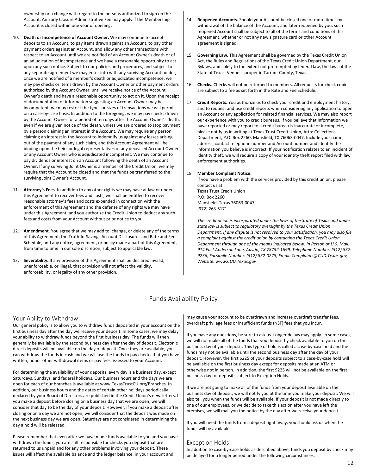ownership or a change with regard to the persons authorized to sign on the Account. An Early Closure Administrative Fee may apply if the Membership Account is closed within one year of opening.

- 10. **Death or Incompetence of Account Owner.** We may continue to accept deposits to an Account, to pay items drawn against an Account, to pay other payment orders against an Account, and allow any other transactions with respect to an Account until we are notified of an Account Owner's death or of an adjudication of incompetence and we have a reasonable opportunity to act upon any such notice. Subject to our policies and procedures, and subject to any separate agreement we may enter into with any surviving Account holder, once we are notified of a member's death or adjudicated incompetence, we may pay checks or items drawn by the Account Owner or other payment orders authorized by the Account Owner, until we receive notice of the Account Owner's death and have a reasonable opportunity to act on it. Upon the receipt of documentation or information suggesting an Account Owner may be incompetent, we may restrict the types or sizes of transactions we will permit on a case-by-case basis. In addition to the foregoing, we may pay checks drawn by the Account Owner for a period of ten days after the Account Owner's death, even if we are given notice of the death, unless we are ordered to stop payment by a person claiming an interest in the Account. We may require any person claiming an interest in the Account to indemnify us against any losses arising out of the payment of any such claim, and this Account Agreement will be binding upon the heirs or legal representatives of any deceased Account Owner or any Account Owner who is adjudicated incompetent. We may continue to pay dividends or interest on an Account following the death of an Account Owner. If any surviving Joint Owner is a member of the Credit Union, we may require that the Account be closed and that the funds be transferred to the surviving Joint Owner's Account.
- 11. **Attorney's Fees**. In addition to any other rights we may have at law or under this Agreement to recover fees and costs, we shall be entitled to recover reasonable attorney's fees and costs expended in connection with the enforcement of this Agreement and the defense of any rights we may have under this Agreement, and you authorize the Credit Union to deduct any such fees and costs from your Account without prior notice to you.
- 12. **Amendment.** You agree that we may add to, change, or delete any of the terms of this Agreement, the Truth-In-Savings Account Disclosures and Rate and Fee Schedule, and any notice, agreement, or policy made a part of this Agreement, from time to time in our sole discretion, subject to applicable law.
- 13. **Severability.** If any provision of this Agreement shall be declared invalid, unenforceable, or illegal, that provision will not affect the validity, enforceability, or legality of any other provision.
- 14. **Reopened Accounts.** Should your Account be closed one or more times by withdrawal of the balance of the Account, and later reopened by you, such reopened Account shall be subject to all of the terms and conditions of this Agreement, whether or not any new signature card or other Account agreement is signed.
- 15. **Governing Law.** This Agreement shall be governed by the Texas Credit Union Act, the Rules and Regulations of the Texas Credit Union Department, our Bylaws, and solely to the extent not pre-empted by federal law, the laws of the State of Texas. Venue is proper in Tarrant County, Texas.
- 16. **Checks.** Checks will not be returned to members. All requests for check copies are subject to a fee as set forth in the Rate and Fee Schedule.
- 17. **Credit Reports.** You authorize us to check your credit and employment history, and to request and use credit reports when considering any application to open an Account or any application for related financial services. We may also report our experience with you to credit bureaus. If you believe that information we have reported or may report to a credit bureau is inaccurate or incomplete, please notify us in writing at Texas Trust Credit Union, Attn: Collections Department, P.O. Box 2260, Mansfield, TX 76063-0047. Include your name, address, contact telephone number and Account number and identify the information you believe is incorrect. If your notification relates to an incident of identity theft, we will require a copy of your identity theft report filed with law enforcement authorities.

### 18. **Member Complaint Notice.**

If you have a problem with the services provided by this credit union, please contact us at: Texas Trust Credit Union P.O. Box 2260 Mansfield, Texas 76063-0047 (972) 263-5171

*The credit union is incorporated under the laws of the State of Texas and under state law is subject to regulatory oversight by the Texas Credit Union Department. If any dispute is not resolved to your satisfaction, you may also file a complaint against the credit union by contacting the Texas Credit Union Department through one of the means indicated below: In Person or U.S. Mail: 914 East Anderson Lane, Austin, TX 78752-1699, Telephone Number: (512) 837- 9236, Facsimile Number: (512) 832-0278, Email: Complaints@CUD.Texas.gov, Website: www.CUD.Texas.gov*

## Funds Availability Policy

## <span id="page-11-1"></span><span id="page-11-0"></span>Your Ability to Withdraw

Our general policy is to allow you to withdraw funds deposited in your account on the first business day after the day we receive your deposit. In some cases, we may delay your ability to withdraw funds beyond the first business day. The funds will then generally be available by the second business day after the day of deposit. Electronic direct deposits will be available on the day of deposit. Once they are available, you can withdraw the funds in cash and we will use the funds to pay checks that you have written, honor other withdrawal items or pay fees assessed to your Account.

For determining the availability of your deposits, every day is a business day, except Saturdays, Sundays, and federal holidays. Our business hours and the days we are open for each of our branches is available at www.TexasTrustCU.org/Branches. In addition, our business hours and the dates of certain other holidays periodically declared by your Board of Directors are published in the Credit Union's newsletters. If you make a deposit before closing on a business day that we are open, we will consider that day to be the day of your deposit. However, if you make a deposit after closing or on a day we are not open, we will consider that the deposit was made on the next business day we are open. Saturdays are not considered in determining the day a hold will be released.

Please remember that even after we have made funds available to you and you have withdrawn the funds, you are still responsible for checks you deposit that are returned to us unpaid and for any other problems involving your deposit. These issues will affect the available balance and the ledger balance, in your account and

may cause your account to be overdrawn and increase overdraft transfer fees, overdraft privilege fees or insufficient funds (NSF) fees that you incur.

If you have any questions, be sure to ask us. Longer delays may apply. In some cases, we will not make all of the funds that you deposit by check available to you on the business day of your deposit. This type of hold is called a case-by-case hold and the funds may not be available until the second business day after the day of your deposit. However, the first \$225 of your deposits subject to a case-by-case hold will be available on the first business day except for deposits made at an ATM or otherwise not in person. In addition, the first \$225 will not be available on the first business day for deposits subject to Exception Holds.

If we are not going to make all of the funds from your deposit available on the business day of deposit, we will notify you at the time you make your deposit. We will also tell you when the funds will be available. If your deposit is not made directly to one of our employees, or we decide to take this action after you have left the premises, we will mail you the notice by the day after we receive your deposit.

If you will need the funds from a deposit right away, you should ask us when the funds will be available.

## <span id="page-11-2"></span>Exception Holds

In addition to case-by-case holds as described above, funds you deposit by check may be delayed for a longer period under the following circumstances: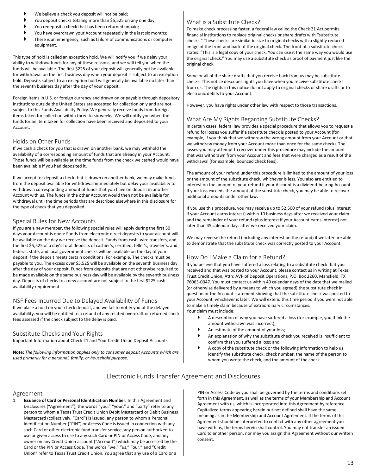- We believe a check you deposit will not be paid;
- You deposit checks totaling more than \$5,525 on any one day;
- You redeposit a check that has been returned unpaid;
- You have overdrawn your Account repeatedly in the last six months;
- There is an emergency, such as failure of communications or computer equipment.

This type of hold is called an exception hold. We will notify you if we delay your ability to withdraw funds for any of these reasons, and we will tell you when the funds will be available. The first \$225 of your deposit will generally not be available for withdrawal on the first business day when your deposit is subject to an exception hold. Deposits subject to an exception hold will generally be available no later than the seventh business day after the day of your deposit.

Foreign items in U.S. or foreign currency and drawn on or payable through depository institutions outside the United States are accepted for collection only and are not subject to this Funds Availability Policy. We generally receive funds from foreign items taken for collection within three to six weeks. We will notify you when the funds for an item taken for collection have been received and deposited to your Account.

## <span id="page-12-0"></span>Holds on Other Funds

If we cash a check for you that is drawn on another bank, we may withhold the availability of a corresponding amount of funds that are already in your Account. Those funds will be available at the time funds from the check we cashed would have been available if you had deposited it.

If we accept for deposit a check that is drawn on another bank, we may make funds from the deposit available for withdrawal immediately but delay your availability to withdraw a corresponding amount of funds that you have on deposit in another Account with us. The funds in the other Account would then not be available for withdrawal until the time periods that are described elsewhere in this disclosure for the type of check that you deposited.

## <span id="page-12-1"></span>Special Rules for New Accounts

If you are a new member, the following special rules will apply during the first 30 days your Account is open: Funds from electronic direct deposits to your account will be available on the day we receive the deposit. Funds from cash, wire transfers, and the first \$5,525 of a day's total deposits of cashier's, certified, teller's, traveler's, and federal, state, and local government checks will be available on the day of your deposit if the deposit meets certain conditions. For example. The checks must be payable to you. The excess over \$5,525 will be available on the seventh business day after the day of your deposit. Funds from deposits that are not otherwise required to be made available on the same business day will be available by the seventh business day. Deposits of checks to a new account are not subject to the first \$225 cash availability requirement.

## <span id="page-12-2"></span>NSF Fees Incurred Due to Delayed Availability of Funds

If we place a hold on your check deposit, and we fail to notify you of the delayed availability, you will be entitled to a refund of any related overdraft or returned check fees assessed if the check subject to the delay is paid.

## <span id="page-12-3"></span>Substitute Checks and Your Rights

Important Information about Check 21 and Your Credit Union Deposit Accounts

**Note:** *The following information applies only to consumer deposit Accounts which are used primarily for a personal, family, or household purpose.*

## <span id="page-12-4"></span>What is a Substitute Check?

To make check processing faster, a federal law called the Check 21 Act permits financial institutions to replace original checks or share drafts with "substitute checks." These checks are similar in size to original checks with a slightly reduced image of the front and back of the original check. The front of a substitute check states: "This is a legal copy of your check. You can use it the same way you would use the original check." You may use a substitute check as proof of payment just like the original check.

Some or all of the share drafts that you receive back from us may be substitute checks. This notice describes rights you have when you receive substitute checks from us. The rights in this notice do not apply to original checks or share drafts or to electronic debits to your Account.

However, you have rights under other law with respect to those transactions.

## <span id="page-12-5"></span>What Are My Rights Regarding Substitute Checks?

In certain cases, federal law provides a special procedure that allows you to request a refund for losses you suffer if a substitute check is posted to your Account (for example, if you think that we withdrew the wrong amount from your Account or that we withdrew money from your Account more than once for the same check). The losses you may attempt to recover under this procedure may include the amount that was withdrawn from your Account and fees that were charged as a result of the withdrawal (for example, bounced check fees).

The amount of your refund under this procedure is limited to the amount of your loss or the amount of the substitute check, whichever is less. You also are entitled to interest on the amount of your refund if your Account is a dividend-bearing Account. If your loss exceeds the amount of the substitute check, you may be able to recover additional amounts under other law.

If you use this procedure, you may receive up to \$2,500 of your refund (plus interest if your Account earns interest) within 10 business days after we received your claim and the remainder of your refund (plus interest if your Account earns interest) not later than 45 calendar days after we received your claim.

We may reverse the refund (including any interest on the refund) if we later are able to demonstrate that the substitute check was correctly posted to your Account.

## <span id="page-12-6"></span>How Do I Make a Claim for a Refund?

If you believe that you have suffered a loss relating to a substitute check that you received and that was posted to your Account, please contact us in writing at Texas Trust Credit Union, Attn: AVP of Deposit Operations, P.O. Box 2260, Mansfield, TX 76063-0047. You must contact us within 40 calendar days of the date that we mailed (or otherwise delivered by a means to which you agreed) the substitute check in question or the Account statement showing that the substitute check was posted to your Account, whichever is later. We will extend this time period if you were not able to make a timely claim because of extraordinary circumstances. Your claim must include:

- A description of why you have suffered a loss (for example, you think the amount withdrawn was incorrect);
- An estimate of the amount of your loss;
- An explanation of why the substitute check you received is insufficient to confirm that you suffered a loss; and
- <span id="page-12-7"></span> A copy of the substitute check or the following information to help us identify the substitute check: check number, the name of the person to whom you wrote the check, and the amount of the check.

## Electronic Funds Transfer Agreement and Disclosures

## Agreement

1. **Issuance of Card or Personal Identification Number.** In this Agreement and Disclosures ("Agreement"), the words "you," "your," and "party" refer to any person to whom a Texas Trust Credit Union Debit Mastercard or Debit Business Mastercard (collectively, "Card") is issued, any person to whom a Personal Identification Number ("PIN") or Access Code is issued in connection with any such Card or other electronic fund transfer service, any person authorized to use or given access to use to any such Card or PIN or Access Code, and any owner on any Credit Union account ("Account") which may be accessed by the Card or the PIN or Access Code. The words "we," "us," "our," and "Credit Union" refer to Texas Trust Credit Union. You agree that any use of a Card or a

<span id="page-12-8"></span>PIN or Access Code by you shall be governed by the terms and conditions set forth in this Agreement, as well as the terms of your Membership and Account Agreement with us, which is incorporated into this Agreement by reference. Capitalized terms appearing herein but not defined shall have the same meaning as in the Membership and Account Agreement. If the terms of this Agreement should be interpreted to conflict with any other agreement you have with us, the terms herein shall control. You may not transfer an issued Card to another person, nor may you assign this Agreement without our written consent.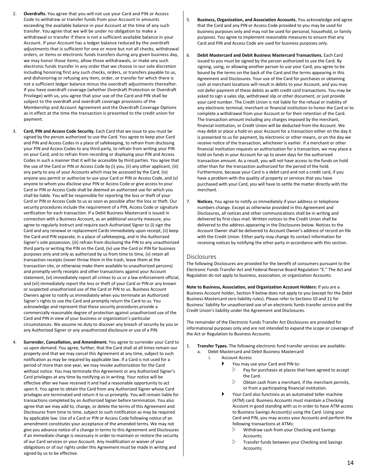- 2. **Overdrafts.** You agree that you will not use your Card and PIN or Access Code to withdraw or transfer funds from your Account in amounts exceeding the available balance in your Account at the time of any such transfer. You agree that we will be under no obligation to make a withdrawal or transfer if there is not a sufficient available balance in your Account. If your Account has a ledger balance reduced by the overdraft adjustments that is sufficient for one or more but not all checks, withdrawal orders, or items or electronic funds transfers during any given business day, we may honor those items, allow those withdrawals, or make any such electronic funds transfer in any order that we choose in our sole discretion including honoring first any such checks, orders, or transfers payable to us, and dishonoring or refusing any item, order, or transfer for which there is not a sufficient ledger balance minus the overdraft adjustments thereafter. If you have overdraft coverage (whether Overdraft Protection or Overdraft Privilege) with us, you agree that your use of the Card and PIN shall be subject to the overdraft and overdraft coverage provisions of the Membership and Account Agreement and the Overdraft Coverage Options as in effect at the time the transaction is presented to the credit union for payment.
- 3. **Card, PIN and Access Code Security.** Each Card that we issue to you must be signed by the person authorized to use the Card. You agree to keep your Card and PIN and Access Codes in a place of safekeeping, to refrain from disclosing your PIN and Access Codes to any third party, to refrain from writing your PIN on your Card, and to refrain from recording or displaying your PIN and Access Codes in such a manner that it will be accessible by third parties. You agree that the use of the Card or PIN or Access Code by (i) you, (ii) any other applicant, (iii) any party to any of your Accounts which may be accessed by the Card, (iv) anyone you permit or authorize to use your Card or PIN or Access Code, and (v) anyone to whom you disclose your PIN or Access Code or give access to your Card or PIN or Access Code shall be deemed an authorized use for which you shall be liable. You will be responsible for reporting the loss or theft of your Card or PIN or Access Code to us as soon as possible after the loss or theft. Our security procedures include the requirement of a PIN, Access Code or signature verification for each transaction. If a Debit Business Mastercard is issued in connection with a Business Account, as an additional security measure, you agree to regularly instruct and require each Authorized Signer to (i) sign the Card and any renewal or replacement Cards immediately upon receipt, (ii) keep the Card and PIN separate, in a place of safekeeping, and in the Authorized Signer's sole possession, (iii) refrain from disclosing the PIN to any unauthorized third party or writing the PIN on the Card, (iv) use the Card or PIN for business purposes only and only as authorized by us from time to time, (v) retain all transaction receipts (never throw them in the trash, leave them at the transaction site, or otherwise make them available to unauthorized persons) and promptly verify receipts and other transactions against your Account statement, (vi) immediately report all crimes to us or a law enforcement official, and (vii) immediately report the loss or theft of your Card or PIN or any known or suspected unauthorized use of the Card or PIN to us. Business Account Owners agree to notify us immediately when you terminate an Authorized Signer's rights to use the Card and promptly return the Card to us. You acknowledge and represent that these security procedures provide a commercially reasonable degree of protection against unauthorized use of the Card and PIN in view of your business or organization's particular circumstances. We assume no duty to discover any breach of security by you or any Authorized Signer or any unauthorized disclosure or use of a PIN.
- 4. **Surrender, Cancellation, and Amendment.** You agree to surrender your Card to us upon demand. You agree, further, that the Card shall at all times remain our property and that we may cancel this Agreement at any time, subject to such notification as may be required by applicable law. If a Card is not used for a period of more than one year, we may revoke authorization for the Card without notice. You may terminate this Agreement or any Authorized Signer's Card privileges at any time by notifying us in writing. Your notice will be effective after we have received it and had a reasonable opportunity to act upon it. You agree to obtain the Card from any Authorized Signer whose Card privileges are terminated and return it to us promptly. You will remain liable for transactions completed by an Authorized Signer before termination. You also agree that we may add to, change, or delete the terms of this Agreement and Disclosures from time to time, subject to such notification as may be required by applicable law. Use of a Card or PIN or Access Code following notice of an amendment constitutes your acceptance of the amended terms. We may not give you advance notice of a change in terms to this Agreement and Disclosures if an immediate change is necessary in order to maintain or restore the security of our Card services or your Account. Any modification or waiver of your obligations or of our rights under this Agreement must be made in writing and signed by us to be effective.
- 5. **Business, Organization, and Association Accounts.** You acknowledge and agree that the Card and any PIN or Access Code provided to you may be used for business purposes only and may not be used for personal, household, or family purposes. You agree to implement reasonable measures to ensure that any Card and PIN and Access Code are used for business purposes only.
- 6. **Debit Mastercard and Debit Business Mastercard Transactions.** Each Card issued to you must be signed by the person authorized to use the Card. By signing, using, or allowing another person to use your Card, you agree to be bound by the terms on the back of the Card and the terms appearing in this Agreement and Disclosures. Your use of the Card for purchases or obtaining cash at merchant locations will result in debits to your Account, and you may not defer payment of these debits as with credit card transactions. You may be asked to sign a sales slip, withdrawal slip or other document, or just provide your card number. The Credit Union is not liable for the refusal or inability of any electronic terminal, merchant or financial institution to honor the Card or to complete a withdrawal from your Account or for their retention of the Card. The transaction amount including any charges imposed by the merchant, financial institution, or Credit Union will be deducted from the Account. We may debit or place a hold on your Account for a transaction either on the day it is presented to us for payment, by electronic or other means, or on the day we receive notice of the transaction, whichever is earlier. If a merchant or other financial institution requests an authorization for a transaction, we may place a hold on funds in your Account for up to seven days for the authorized transaction amount. As a result, you will not have access to the funds on hold other than for the transaction authorized for the period of the hold. Furthermore, because your Card is a debit card and not a credit card, if you have a problem with the quality of property or services that you have purchased with your Card, you will have to settle the matter directly with the merchant.
- 7. **Notices.** You agree to notify us immediately if your address or telephone numbers change. Except as otherwise provided in this Agreement and Disclosures, all notices and other communications shall be in writing and delivered by first class mail. Written notices to the Credit Union shall be delivered to the address appearing in the Disclosures below. Notices to the Account Owner shall be delivered to Account Owner's address of record on file with the Credit Union. Either party may change its contact information for receiving notices by notifying the other party in accordance with this section.

## Disclosures

The following Disclosures are provided for the benefit of consumers pursuant to the Electronic Funds Transfer Act and Federal Reserve Board Regulation "E." The Act and Regulation do not apply to business, association, or organization Accounts.

**Note to Business, Association, and Organization Account Holders:** If you are a Business Account holder, Section 9 below does not apply to you (except for the Debit Business Mastercard zero liability rules). Please refer to Sections 10 and 11 for Business' liability for unauthorized use of an electronic funds transfer service and the Credit Union's liability under the Agreement and Disclosures.

The remainder of the Electronic Funds Transfer Act Disclosures are provided for informational purposes only and are not intended to expand the scope or coverage of the Act or Regulation to Business Accounts.

- 1. **Transfer Types.** The following electronic fund transfer services are available:
	- a. Debit Mastercard and Debit Business Mastercard
		- i. Account Access
			- You may use your Card and PIN to:
				- $\triangleright$  Pay for purchases at places that have agreed to accept the Card.
				- $\triangleright$  Obtain cash from a merchant, if the merchant permits, or from a participating financial institution.
			- Your Card also functions as an automated teller machine (ATM) card. Business Accounts must maintain a Checking Account in good standing with us in order to have ATM access to Business Savings Account(s) using the Card. Using your Card and PIN, you may access your Accounts and perform the following transactions at ATMs:
				- Withdraw cash from your Checking and Savings Accounts;
				- Transfer funds between your Checking and Savings Accounts;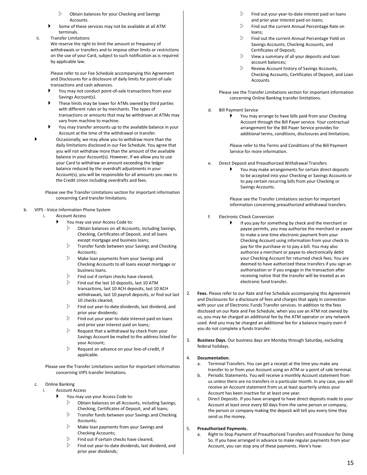- Obtain balances for your Checking and Savings Accounts.
- Some of these services may not be available at all ATM terminals.
- ii. Transfer Limitations We reserve the right to limit the amount or frequency of withdrawals or transfers and to impose other limits or restrictions on the use of your Card, subject to such notification as is required

Please refer to our Fee Schedule accompanying this Agreement and Disclosures for a disclosure of daily limits for point-of-sale transactions and cash advances.

- You may not conduct point-of-sale transactions from your Savings Account(s).
- These limits may be lower for ATMs owned by third parties with different rules or by merchants. The types of transactions or amounts that may be withdrawn at ATMs may vary from machine to machine.
- You may transfer amounts up to the available balance in your Account at the time of the withdrawal or transfer.
- Occasionally, we may allow you to withdraw more than the daily limitations disclosed in our Fee Schedule. You agree that you will not withdraw more than the amount of the available balance in your Account(s). However, if we allow you to use your Card to withdraw an amount exceeding the ledger balance reduced by the overdraft adjustments in your Account(s), you will be responsible for all amounts you owe to the Credit Union including overdrafts and fees.

Please see the Transfer Limitations section for important information concerning Card transfer limitations.

## b. VIPS - Voice Information Phone System

by applicable law.

- i. Account Access
	- You may use your Access Code to:
		- $\triangleright$  Obtain balances on all Accounts, including Savings, Checking, Certificates of Deposit, and all loans except mortgage and business loans;
		- $\triangleright$  Transfer funds between your Savings and Checking Accounts;
		- $\triangleright$  Make loan payments from your Savings and Checking Accounts to all loans except mortgage or business loans.
		- $\triangleright$  Find out if certain checks have cleared:
		- $\triangleright$  Find out the last 10 deposits, last 10 ATM transactions, last 10 ACH deposits, last 10 ACH withdrawals, last 10 payroll deposits, or find out last 10 checks cleared;
		- $\triangleright$  Find out year-to-date dividends, last dividend, and prior year dividends;
		- $\triangleright$  Find out your year-to-date interest paid on loans and prior year interest paid on loans;
		- $\triangleright$  Request that a withdrawal by check from your Savings Account be mailed to the address listed for your Account;
		- $\triangleright$  Request an advance on your line-of-credit, if applicable.

Please see the Transfer Limitations section for important information concerning VIPS transfer limitations.

## c. Online Banking

- i. Account Access
	- You may use your Access Code to:
		- $\triangleright$  Obtain balances on all Accounts, including Savings, Checking, Certificates of Deposit, and all loans;
		- $\triangleright$  Transfer funds between your Savings and Checking Accounts;
		- $\triangleright$  Make loan payments from your Savings and Checking Accounts;
		- $\triangleright$  Find out if certain checks have cleared;
		- Find out year-to-date dividends, last dividend, and prior year dividends;
- Find out your year-to-date interest paid on loans and prior year interest paid on loans;
- $\triangleright$  Find out the current Annual Percentage Rate on loans;
- $\triangleright$  Find out the current Annual Percentage Yield on Savings Accounts, Checking Accounts, and Certificates of Deposit;
- $\triangleright$  View a summary of all your deposits and loan account balances;
- $\triangleright$  Review Account history of Savings Accounts, Checking Accounts, Certificates of Deposit, and Loan Accounts.

Please see the Transfer Limitations section for important information concerning Online Banking transfer limitations.

## d. Bill Payment Service

 You may arrange to have bills paid from your Checking Account through the Bill Payer service. Your contractual arrangement for the Bill Payer Service provides for additional terms, conditions, disclosures and limitations.

Please refer to the Terms and Conditions of the Bill Payment Service for more information.

- e. Direct Deposit and Preauthorized Withdrawal Transfers
	- You may make arrangements for certain direct deposits to be accepted into your Checking or Savings Accounts or to pay certain recurring bills from your Checking or Savings Accounts.

Please see the Transfer Limitations section for important information concerning preauthorized withdrawal transfers.

- f. Electronic Check Conversion
	- If you pay for something by check and the merchant or payee permits, you may authorize the merchant or payee to make a one-time electronic payment from your Checking Account using information from your check to pay for the purchase or to pay a bill. You may also authorize a merchant or payee to electronically debit your Checking Account for returned check fees. You are deemed to have authorized these transfers if you sign an authorization or if you engage in the transaction after receiving notice that the transfer will be treated as an electronic fund transfer.
- 2. **Fees.** Please refer to our Rate and Fee Schedule accompanying this Agreement and Disclosures for a disclosure of fees and charges that apply in connection with your use of Electronic Funds Transfer services. In addition to the fees disclosed on our Rate and Fee Schedule, when you use an ATM not owned by us, you may be charged an additional fee by the ATM operator or any network used. And you may be charged an additional fee for a balance inquiry even if you do not complete a funds transfer.
- 3. **Business Days.** Our business days are Monday through Saturday, excluding federal holidays.

## 4. **Documentation.**

- a. Terminal Transfers. You can get a receipt at the time you make any transfer to or from your Account using an ATM or a point of sale terminal.
- b. Periodic Statements. You will receive a monthly Account statement from us unless there are no transfers in a particular month. In any case, you will receive an Account statement from us at least quarterly unless your Account has been inactive for at least one year.
- c. Direct Deposits. If you have arranged to have direct deposits made to your Account at least once every 60 days from the same person or company, the person or company making the deposit will tell you every time they send us the money.

## 5. **Preauthorized Payments.**

a. Right to Stop Payment of Preauthorized Transfers and Procedure for Doing So. If you have arranged in advance to make regular payments from your Account, you can stop any of these payments. Here's how: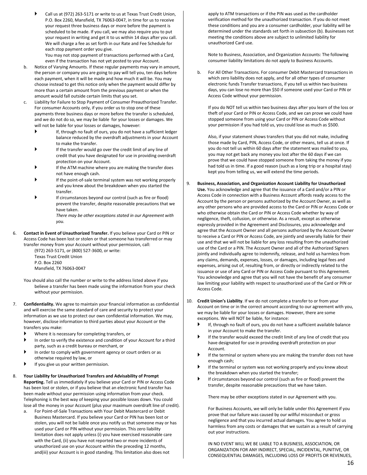Call us at (972) 263-5171 or write to us at Texas Trust Credit Union, P.O. Box 2260, Mansfield, TX 76063-0047, in time for us to receive your request three business days or more before the payment is scheduled to be made. If you call, we may also require you to put your request in writing and get it to us within 14 days after you call. We will charge a fee as set forth in our Rate and Fee Schedule for each stop payment order you give. You may not stop payment of transactions performed with a Card,

even if the transaction has not yet posted to your Account.

- b. Notice of Varying Amounts. If these regular payments may vary in amount, the person or company you are going to pay will tell you, ten days before each payment, when it will be made and how much it will be. You may choose instead to get this notice only when the payment would differ by more than a certain amount from the previous payment or when the amount would fall outside certain limits that you set.
- c. Liability for Failure to Stop Payment of Consumer Preauthorized Transfer. For consumer Accounts only, if you order us to stop one of these payments three business days or more before the transfer is scheduled, and we do not do so, we may be liable for your losses or damages. We will not be liable for your losses or damages, however:
	- If, through no fault of ours, you do not have a sufficient ledger balance reduced by the overdraft adjustments in your Account to make the transfer.
	- If the transfer would go over the credit limit of any line of credit that you have designated for use in providing overdraft protection on your Account.
	- If the ATM machine where you are making the transfer does not have enough cash.
	- If the point-of-sale terminal system was not working properly and you knew about the breakdown when you started the transfer.
	- If circumstances beyond our control (such as fire or flood) prevent the transfer, despite reasonable precautions that we have taken. *There may be other exceptions stated in our Agreement with*

*you.*

6. **Contact in Event of Unauthorized Transfer.** If you believe your Card or PIN or Access Code has been lost or stolen or that someone has transferred or may transfer money from your Account without your permission, call:

(972) 263-5171, or (800) 527-3600, or write: Texas Trust Credit Union P.O. Box 2260 Mansfield, TX 76063-0047

You should also call the number or write to the address listed above if you believe a transfer has been made using the information from your check without your permission.

- 7. **Confidentiality.** We agree to maintain your financial information as confidential and will exercise the same standard of care and security to protect your information as we use to protect our own confidential information. We may, however, disclose information to third parties about your Account or the transfers you make:
	- Where it is necessary for completing transfers, or
	- In order to verify the existence and condition of your Account for a third party, such as a credit bureau or merchant, or
	- In order to comply with government agency or court orders or as otherwise required by law, or
	- If you give us your written permission.
- 8. **Your Liability for Unauthorized Transfers and Advisability of Prompt Reporting.** Tell us immediately if you believe your Card or PIN or Access Code has been lost or stolen, or if you believe that an electronic fund transfer has been made without your permission using information from your check. Telephoning is the best way of keeping your possible losses down. You could lose all the money in your Account (plus your maximum overdraft line of credit).
	- For Point-of-Sale Transactions with Your Debit Mastercard or Debit Business Mastercard. If you believe your Card or PIN has been lost or stolen, you will not be liable once you notify us that someone may or has used your Card or PIN without your permission. This zero liability limitation does not apply unless (i) you have exercised reasonable care with the Card, (ii) you have not reported two or more incidents of unauthorized use on your Account within the preceding 12 months, and(iii) your Account is in good standing. This limitation also does not

apply to ATM transactions or if the PIN was used as the cardholder verification method for the unauthorized transaction. If you do not meet these conditions and you are a consumer cardholder, your liability will be determined under the standards set forth in subsection (b). Businesses not meeting the conditions above are subject to unlimited liability for unauthorized Card use.

Note to Business, Association, and Organization Accounts: The following consumer liability limitations do not apply to Business Accounts.

b. For All Other Transactions. For consumer Debit Mastercard transactions in which zero liability does not apply, and for all other types of consumer electronic funds Transfer transactions, if you tell us within two business days, you can lose no more than \$50 if someone used your Card or PIN or Access Code without your permission.

If you do NOT tell us within two business days after you learn of the loss or theft of your Card or PIN or Access Code, and we can prove we could have stopped someone from using your Card or PIN or Access Code without your permission if you had told us, you could lose as much as \$500.

Also, if your statement shows transfers that you did not make, including those made by Card, PIN, Access Code, or other means, tell us at once. If you do not tell us within 60 days after the statement was mailed to you, you may not get back any money you lost after the 60 days if we can prove that we could have stopped someone from taking the money if you had told us in time. If a good reason (such as a long trip or a hospital stay) kept you from telling us, we will extend the time periods.

### 9. **Business, Association, and Organization Account Liability for Unauthorized Use.** You acknowledge and agree that the issuance of a Card and/or a PIN or Access Code in connection with a Business Account affords ready access to the Account by the person or persons authorized by the Account Owner, as well as any other persons who are provided access to the Card or PIN or Access Code or who otherwise obtain the Card or PIN or Access Code whether by way of negligence, theft, collusion, or otherwise. As a result, except as otherwise expressly provided in the Agreement and Disclosures, you acknowledge and agree that the Account Owner and all persons authorized by the Account Owner to receive a Card or PIN or Access Code, are jointly and severally liable for their use and that we will not be liable for any loss resulting from the unauthorized use of the Card or a PIN. The Account Owner and all of the Authorized Signers jointly and individually agree to indemnify, release, and hold us harmless from any claims, demands, expenses, losses, or damages, including legal fees and expenses, arising out of, resulting from, or directly or indirectly related to the issuance or use of any Card or PIN or Access Code pursuant to this Agreement. You acknowledge and agree that you will not have the benefit of any consumer law limiting your liability with respect to unauthorized use of the Card or PIN or Access Code.

- 10. **Credit Union's Liability**. If we do not complete a transfer to or from your Account on time or in the correct amount according to our agreement with you, we may be liable for your losses or damages. However, there are some exceptions. We will NOT be liable, for instance:
	- If, through no fault of ours, you do not have a sufficient available balance in your Account to make the transfer.
	- If the transfer would exceed the credit limit of any line of credit that you have designated for use in providing overdraft protection on your Account.
	- If the terminal or system where you are making the transfer does not have enough cash;
	- If the terminal or system was not working properly and you knew about the breakdown when you started the transfer;
	- If circumstances beyond our control (such as fire or flood) prevent the transfer, despite reasonable precautions that we have taken.

There may be other exceptions stated in our Agreement with you.

For Business Accounts, we will only be liable under this Agreement if you prove that our failure was caused by our willful misconduct or gross negligence and that you incurred actual damages. You agree to hold us harmless from any costs or damages that we sustain as a result of carrying out your instructions.

IN NO EVENT WILL WE BE LIABLE TO A BUSINESS, ASSOCIATION, OR ORGANIZATION FOR ANY INDIRECT, SPECIAL, INCIDENTAL, PUNITIVE, OR CONSEQUENTIAL DAMAGES, INCLUDING LOSS OF PROFITS OR REVENUES,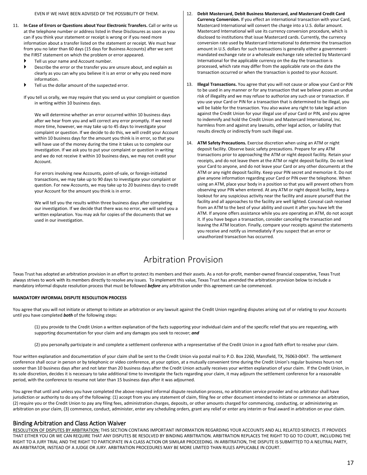- 11. **In Case of Errors or Questions about Your Electronic Transfers.** Call or write us at the telephone number or address listed in these Disclosures as soon as you can if you think your statement or receipt is wrong or if you need more information about a transfer listed on the statement or receipt. We must hear from you no later than 60 days (15 days for Business Accounts) after we sent the FIRST statement on which the problem or error appeared.
	- Tell us your name and Account number.
	- Describe the error or the transfer you are unsure about, and explain as clearly as you can why you believe it is an error or why you need more information.
	- Tell us the dollar amount of the suspected error.
	- If you tell us orally, we may require that you send us your complaint or question in writing within 10 business days.

We will determine whether an error occurred within 10 business days after we hear from you and will correct any error promptly. If we need more time, however, we may take up to 45 days to investigate your complaint or question. If we decide to do this, we will credit your Account within 10 business days for the amount you think is in error, so that you will have use of the money during the time it takes us to complete our investigation. If we ask you to put your complaint or question in writing and we do not receive it within 10 business days, we may not credit your Account.

For errors involving new Accounts, point-of-sale, or foreign-initiated transactions, we may take up to 90 days to investigate your complaint or question. For new Accounts, we may take up to 20 business days to credit your Account for the amount you think is in error.

We will tell you the results within three business days after completing our investigation. If we decide that there was no error, we will send you a written explanation. You may ask for copies of the documents that we used in our investigation.

- 12. **Debit Mastercard, Debit Business Mastercard, and Mastercard Credit Card Currency Conversion.** If you effect an international transaction with your Card, Mastercard International will convert the charge into a U.S. dollar amount. Mastercard International will use its currency conversion procedure, which is disclosed to institutions that issue Mastercard cards. Currently, the currency conversion rate used by Mastercard International to determine the transaction amount in U.S. dollars for such transactions is generally either a governmentmandated exchange rate or a wholesale exchange rate selected by Mastercard International for the applicable currency on the day the transaction is processed, which rate may differ from the applicable rate on the date the transaction occurred or when the transaction is posted to your Account.
- 13. **Illegal Transactions.** You agree that you will not cause or allow your Card or PIN to be used in any manner or for any transaction that we believe poses an undue risk of illegality and we may refuse to authorize any such use or transaction. If you use your Card or PIN for a transaction that is determined to be illegal, you will be liable for the transaction. You also waive any right to take legal action against the Credit Union for your illegal use of your Card or PIN, and you agree to indemnify and hold the Credit Union and Mastercard International, Inc. harmless from and against any lawsuits, other legal action, or liability that results directly or indirectly from such illegal use.
- <span id="page-16-0"></span>14. **ATM Safety Precautions.** Exercise discretion when using an ATM or night deposit facility. Observe basic safety precautions. Prepare for any ATM transactions prior to approaching the ATM or night deposit facility. Retain your receipts, and do not leave them at the ATM or night deposit facility. Do not lend your Card to anyone, and do not leave your Card or any other documents at the ATM or any night deposit facility. Keep your PIN secret and memorize it. Do not give anyone information regarding your Card or PIN over the telephone. When using an ATM, place your body in a position so that you will prevent others from observing your PIN when entered. At any ATM or night deposit facility, keep a lookout for any suspicious activity near the facility and assure yourself that the facility and all approaches to the facility are well lighted. Conceal cash received from an ATM to the best of your ability and count it after you have left the ATM. If anyone offers assistance while you are operating an ATM, do not accept it. If you have begun a transaction, consider canceling the transaction and leaving the ATM location. Finally, compare your receipts against the statements you receive and notify us immediately if you suspect that an error or unauthorized transaction has occurred.

## Arbitration Provision

Texas Trust has adopted an arbitration provision in an effort to protect its members and their assets. As a not-for-profit, member-owned financial cooperative, Texas Trust always strives to work with its members directly to resolve any issues. To implement this value, Texas Trust has amended the arbitration provision below to include a mandatory informal dispute resolution process that must be followed *before* any arbitration under this agreement can be commenced.

## **MANDATORY INFORMAL DISPUTE RESOLUTION PROCESS**

You agree that you will not initiate or attempt to initiate an arbitration or any lawsuit against the Credit Union regarding disputes arising out of or relating to your Accounts until you have completed *both* of the following steps:

(1) you provide to the Credit Union a written explanation of the facts supporting your individual claim and of the specific relief that you are requesting, with supporting documentation for your claim and any damages you seek to recover; *and*

(2) you personally participate in and complete a settlement conference with a representative of the Credit Union in a good faith effort to resolve your claim.

Your written explanation and documentation of your claim shall be sent to the Credit Union via postal mail to P.O. Box 2260, Mansfield, TX, 76063-0047. The settlement conference shall occur in person or by telephonic or video conference, at your option, at a mutually convenient time during the Credit Union's regular business hours not sooner than 10 business days after and not later than 20 business days after the Credit Union actually receives your written explanation of your claim. If the Credit Union, in its sole discretion, decides it is necessary to take additional time to investigate the facts regarding your claim, it may adjourn the settlement conference for a reasonable period, with the conference to resume not later than 15 business days after it was adjourned.

You agree that until and unless you have completed the above required informal dispute resolution process, no arbitration service provider and no arbitrator shall have jurisdiction or authority to do any of the following: (1) accept from you any statement of claim, filing fee or other document intended to initiate or commence an arbitration, (2) require you or the Credit Union to pay any filing fees, administration charges, deposits, or other amounts charged for commencing, conducting, or administering an arbitration on your claim, (3) commence, conduct, administer, enter any scheduling orders, grant any relief or enter any interim or final award in arbitration on your claim.

## Binding Arbitration and Class Action Waiver

RESOLUTION OF DISPUTES BY ARBITRATION: THIS SECTION CONTAINS IMPORTANT INFORMATION REGARDING YOUR ACCOUNTS AND ALL RELATED SERVICES. IT PROVIDES THAT EITHER YOU OR WE CAN REQUIRE THAT ANY DISPUTES BE RESOLVED BY BINDING ARBITRATION. ARBITRATION REPLACES THE RIGHT TO GO TO COURT, INCLUDING THE RIGHT TO A JURY TRIAL AND THE RIGHT TO PARTICIPATE IN A CLASS ACTION OR SIMILAR PROCEEDING. IN ARBITRATION, THE DISPUTE IS SUBMITTED TO A NEUTRAL PARTY, AN ARBITRATOR, INSTEAD OF A JUDGE OR JURY. ARBITRATION PROCEDURES MAY BE MORE LIMITED THAN RULES APPLICABLE IN COURT.